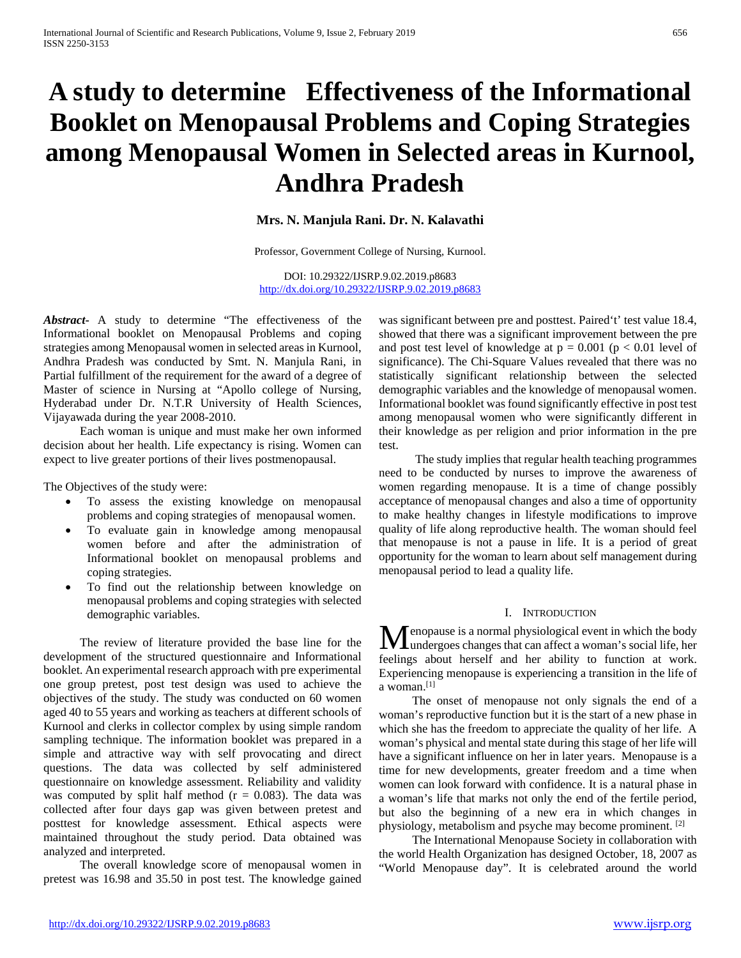# **A study to determine Effectiveness of the Informational Booklet on Menopausal Problems and Coping Strategies among Menopausal Women in Selected areas in Kurnool, Andhra Pradesh**

## **Mrs. N. Manjula Rani. Dr. N. Kalavathi**

Professor, Government College of Nursing, Kurnool.

DOI: 10.29322/IJSRP.9.02.2019.p8683 <http://dx.doi.org/10.29322/IJSRP.9.02.2019.p8683>

*Abstract***-** A study to determine "The effectiveness of the Informational booklet on Menopausal Problems and coping strategies among Menopausal women in selected areas in Kurnool, Andhra Pradesh was conducted by Smt. N. Manjula Rani, in Partial fulfillment of the requirement for the award of a degree of Master of science in Nursing at "Apollo college of Nursing, Hyderabad under Dr. N.T.R University of Health Sciences, Vijayawada during the year 2008-2010.

 Each woman is unique and must make her own informed decision about her health. Life expectancy is rising. Women can expect to live greater portions of their lives postmenopausal.

The Objectives of the study were:

- To assess the existing knowledge on menopausal problems and coping strategies of menopausal women.
- To evaluate gain in knowledge among menopausal women before and after the administration of Informational booklet on menopausal problems and coping strategies.
- To find out the relationship between knowledge on menopausal problems and coping strategies with selected demographic variables.

 The review of literature provided the base line for the development of the structured questionnaire and Informational booklet. An experimental research approach with pre experimental one group pretest, post test design was used to achieve the objectives of the study. The study was conducted on 60 women aged 40 to 55 years and working as teachers at different schools of Kurnool and clerks in collector complex by using simple random sampling technique. The information booklet was prepared in a simple and attractive way with self provocating and direct questions. The data was collected by self administered questionnaire on knowledge assessment. Reliability and validity was computed by split half method  $(r = 0.083)$ . The data was collected after four days gap was given between pretest and posttest for knowledge assessment. Ethical aspects were maintained throughout the study period. Data obtained was analyzed and interpreted.

 The overall knowledge score of menopausal women in pretest was 16.98 and 35.50 in post test. The knowledge gained was significant between pre and posttest. Paired't' test value 18.4, showed that there was a significant improvement between the pre and post test level of knowledge at  $p = 0.001$  ( $p < 0.01$  level of significance). The Chi-Square Values revealed that there was no statistically significant relationship between the selected demographic variables and the knowledge of menopausal women. Informational booklet was found significantly effective in post test among menopausal women who were significantly different in their knowledge as per religion and prior information in the pre test.

 The study implies that regular health teaching programmes need to be conducted by nurses to improve the awareness of women regarding menopause. It is a time of change possibly acceptance of menopausal changes and also a time of opportunity to make healthy changes in lifestyle modifications to improve quality of life along reproductive health. The woman should feel that menopause is not a pause in life. It is a period of great opportunity for the woman to learn about self management during menopausal period to lead a quality life.

#### I. INTRODUCTION

enopause is a normal physiological event in which the body **M** enopause is a normal physiological event in which the body undergoes changes that can affect a woman's social life, her feelings about herself and her ability to function at work. Experiencing menopause is experiencing a transition in the life of a woman.[1]

 The onset of menopause not only signals the end of a woman's reproductive function but it is the start of a new phase in which she has the freedom to appreciate the quality of her life. A woman's physical and mental state during this stage of her life will have a significant influence on her in later years. Menopause is a time for new developments, greater freedom and a time when women can look forward with confidence. It is a natural phase in a woman's life that marks not only the end of the fertile period, but also the beginning of a new era in which changes in physiology, metabolism and psyche may become prominent. [2]

 The International Menopause Society in collaboration with the world Health Organization has designed October, 18, 2007 as "World Menopause day". It is celebrated around the world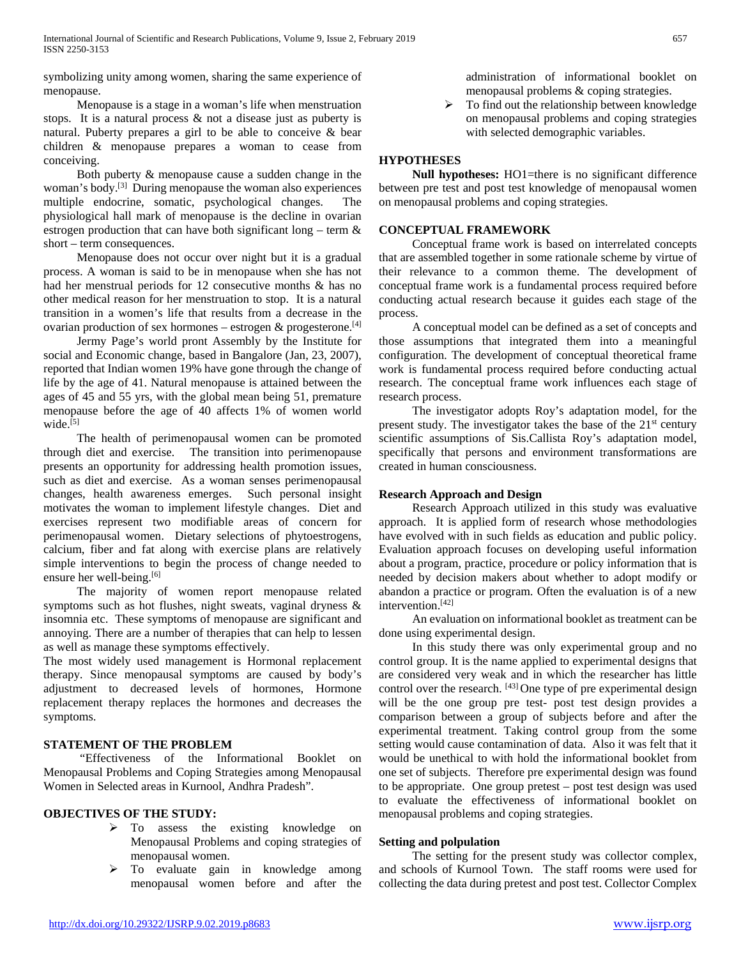symbolizing unity among women, sharing the same experience of menopause.

 Menopause is a stage in a woman's life when menstruation stops. It is a natural process & not a disease just as puberty is natural. Puberty prepares a girl to be able to conceive & bear children & menopause prepares a woman to cease from conceiving.

 Both puberty & menopause cause a sudden change in the woman's body.[3] During menopause the woman also experiences multiple endocrine, somatic, psychological changes. The physiological hall mark of menopause is the decline in ovarian estrogen production that can have both significant long – term  $\&$ short – term consequences.

 Menopause does not occur over night but it is a gradual process. A woman is said to be in menopause when she has not had her menstrual periods for 12 consecutive months & has no other medical reason for her menstruation to stop. It is a natural transition in a women's life that results from a decrease in the ovarian production of sex hormones – estrogen  $\&$  progesterone.<sup>[4]</sup>

 Jermy Page's world pront Assembly by the Institute for social and Economic change, based in Bangalore (Jan, 23, 2007), reported that Indian women 19% have gone through the change of life by the age of 41. Natural menopause is attained between the ages of 45 and 55 yrs, with the global mean being 51, premature menopause before the age of 40 affects 1% of women world wide. $[5]$ 

 The health of perimenopausal women can be promoted through diet and exercise. The transition into perimenopause presents an opportunity for addressing health promotion issues, such as diet and exercise. As a woman senses perimenopausal changes, health awareness emerges. Such personal insight motivates the woman to implement lifestyle changes. Diet and exercises represent two modifiable areas of concern for perimenopausal women. Dietary selections of phytoestrogens, calcium, fiber and fat along with exercise plans are relatively simple interventions to begin the process of change needed to ensure her well-being.[6]

 The majority of women report menopause related symptoms such as hot flushes, night sweats, vaginal dryness & insomnia etc. These symptoms of menopause are significant and annoying. There are a number of therapies that can help to lessen as well as manage these symptoms effectively.

The most widely used management is Hormonal replacement therapy. Since menopausal symptoms are caused by body's adjustment to decreased levels of hormones, Hormone replacement therapy replaces the hormones and decreases the symptoms.

## **STATEMENT OF THE PROBLEM**

 "Effectiveness of the Informational Booklet on Menopausal Problems and Coping Strategies among Menopausal Women in Selected areas in Kurnool, Andhra Pradesh".

## **OBJECTIVES OF THE STUDY:**

- > To assess the existing knowledge on Menopausal Problems and coping strategies of menopausal women.
- $\triangleright$  To evaluate gain in knowledge among menopausal women before and after the

administration of informational booklet on menopausal problems & coping strategies.

 $\triangleright$  To find out the relationship between knowledge on menopausal problems and coping strategies with selected demographic variables.

## **HYPOTHESES**

 **Null hypotheses:** HO1=there is no significant difference between pre test and post test knowledge of menopausal women on menopausal problems and coping strategies.

## **CONCEPTUAL FRAMEWORK**

 Conceptual frame work is based on interrelated concepts that are assembled together in some rationale scheme by virtue of their relevance to a common theme. The development of conceptual frame work is a fundamental process required before conducting actual research because it guides each stage of the process.

 A conceptual model can be defined as a set of concepts and those assumptions that integrated them into a meaningful configuration. The development of conceptual theoretical frame work is fundamental process required before conducting actual research. The conceptual frame work influences each stage of research process.

 The investigator adopts Roy's adaptation model, for the present study. The investigator takes the base of the  $21<sup>st</sup>$  century scientific assumptions of Sis.Callista Roy's adaptation model, specifically that persons and environment transformations are created in human consciousness.

## **Research Approach and Design**

 Research Approach utilized in this study was evaluative approach. It is applied form of research whose methodologies have evolved with in such fields as education and public policy. Evaluation approach focuses on developing useful information about a program, practice, procedure or policy information that is needed by decision makers about whether to adopt modify or abandon a practice or program. Often the evaluation is of a new intervention.[42]

 An evaluation on informational booklet as treatment can be done using experimental design.

 In this study there was only experimental group and no control group. It is the name applied to experimental designs that are considered very weak and in which the researcher has little control over the research. [43] One type of pre experimental design will be the one group pre test- post test design provides a comparison between a group of subjects before and after the experimental treatment. Taking control group from the some setting would cause contamination of data. Also it was felt that it would be unethical to with hold the informational booklet from one set of subjects. Therefore pre experimental design was found to be appropriate. One group pretest – post test design was used to evaluate the effectiveness of informational booklet on menopausal problems and coping strategies.

## **Setting and polpulation**

 The setting for the present study was collector complex, and schools of Kurnool Town. The staff rooms were used for collecting the data during pretest and post test. Collector Complex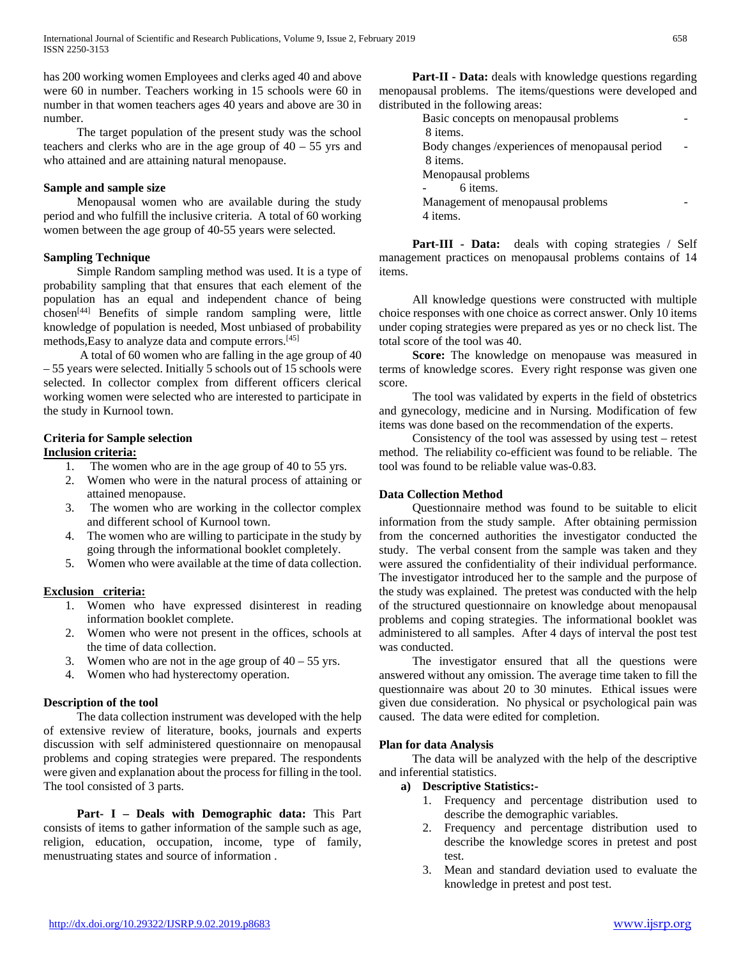has 200 working women Employees and clerks aged 40 and above were 60 in number. Teachers working in 15 schools were 60 in number in that women teachers ages 40 years and above are 30 in number.

 The target population of the present study was the school teachers and clerks who are in the age group of  $40 - 55$  yrs and who attained and are attaining natural menopause.

#### **Sample and sample size**

 Menopausal women who are available during the study period and who fulfill the inclusive criteria. A total of 60 working women between the age group of 40-55 years were selected.

#### **Sampling Technique**

 Simple Random sampling method was used. It is a type of probability sampling that that ensures that each element of the population has an equal and independent chance of being chosen[44] Benefits of simple random sampling were, little knowledge of population is needed, Most unbiased of probability methods,Easy to analyze data and compute errors.[45]

 A total of 60 women who are falling in the age group of 40 – 55 years were selected. Initially 5 schools out of 15 schools were selected. In collector complex from different officers clerical working women were selected who are interested to participate in the study in Kurnool town.

#### **Criteria for Sample selection Inclusion criteria:**

- 1. The women who are in the age group of 40 to 55 yrs.
- 2. Women who were in the natural process of attaining or attained menopause.
- 3. The women who are working in the collector complex and different school of Kurnool town.
- 4. The women who are willing to participate in the study by going through the informational booklet completely.
- 5. Women who were available at the time of data collection.

## **Exclusion criteria:**

- 1. Women who have expressed disinterest in reading information booklet complete.
- 2. Women who were not present in the offices, schools at the time of data collection.
- 3. Women who are not in the age group of  $40 55$  yrs.
- 4. Women who had hysterectomy operation.

## **Description of the tool**

 The data collection instrument was developed with the help of extensive review of literature, books, journals and experts discussion with self administered questionnaire on menopausal problems and coping strategies were prepared. The respondents were given and explanation about the process for filling in the tool. The tool consisted of 3 parts.

 **Part- I – Deals with Demographic data:** This Part consists of items to gather information of the sample such as age, religion, education, occupation, income, type of family, menustruating states and source of information .

 **Part-II - Data:** deals with knowledge questions regarding menopausal problems. The items/questions were developed and distributed in the following areas:

| Basic concepts on menopausal problems           |  |
|-------------------------------------------------|--|
| 8 items.                                        |  |
| Body changes / experiences of menopausal period |  |
| 8 items.                                        |  |
| Menopausal problems                             |  |
| 6 items.                                        |  |
| Management of menopausal problems               |  |
| 4 items.                                        |  |

 **Part-III - Data:** deals with coping strategies / Self management practices on menopausal problems contains of 14 items.

 All knowledge questions were constructed with multiple choice responses with one choice as correct answer. Only 10 items under coping strategies were prepared as yes or no check list. The total score of the tool was 40.

 **Score:** The knowledge on menopause was measured in terms of knowledge scores. Every right response was given one score.

 The tool was validated by experts in the field of obstetrics and gynecology, medicine and in Nursing. Modification of few items was done based on the recommendation of the experts.

 Consistency of the tool was assessed by using test – retest method. The reliability co-efficient was found to be reliable. The tool was found to be reliable value was-0.83.

## **Data Collection Method**

 Questionnaire method was found to be suitable to elicit information from the study sample. After obtaining permission from the concerned authorities the investigator conducted the study. The verbal consent from the sample was taken and they were assured the confidentiality of their individual performance. The investigator introduced her to the sample and the purpose of the study was explained. The pretest was conducted with the help of the structured questionnaire on knowledge about menopausal problems and coping strategies. The informational booklet was administered to all samples. After 4 days of interval the post test was conducted.

 The investigator ensured that all the questions were answered without any omission. The average time taken to fill the questionnaire was about 20 to 30 minutes. Ethical issues were given due consideration. No physical or psychological pain was caused. The data were edited for completion.

## **Plan for data Analysis**

 The data will be analyzed with the help of the descriptive and inferential statistics.

## **a) Descriptive Statistics:-**

- 1. Frequency and percentage distribution used to describe the demographic variables.
- 2. Frequency and percentage distribution used to describe the knowledge scores in pretest and post test.
- 3. Mean and standard deviation used to evaluate the knowledge in pretest and post test.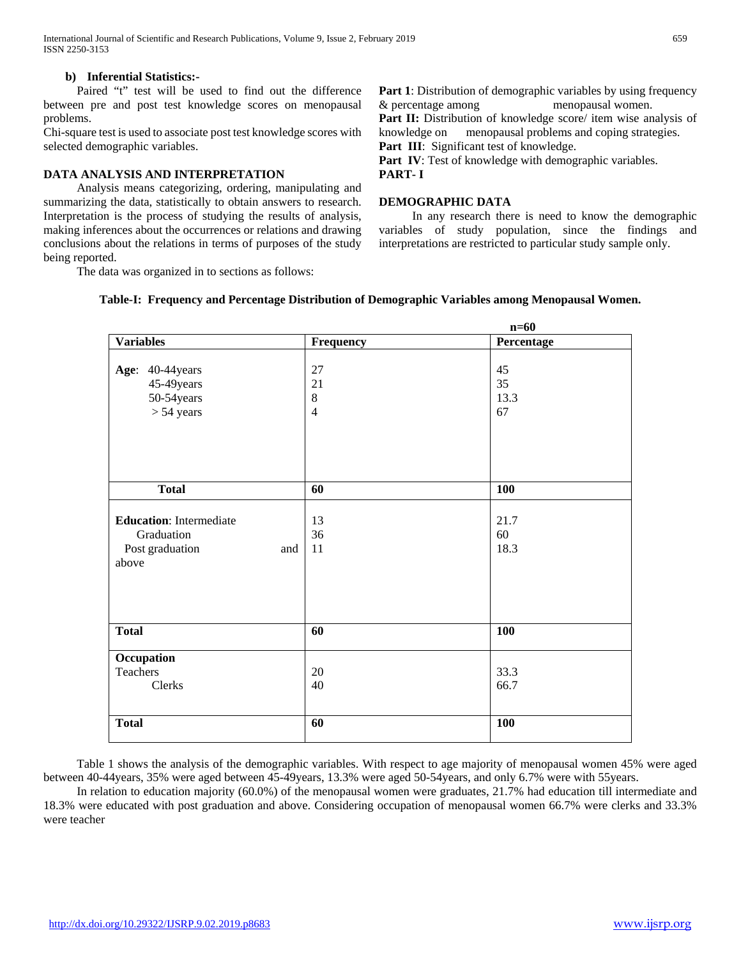International Journal of Scientific and Research Publications, Volume 9, Issue 2, February 2019 659 ISSN 2250-3153

#### **b) Inferential Statistics:-**

 Paired "t" test will be used to find out the difference between pre and post test knowledge scores on menopausal problems.

Chi-square test is used to associate post test knowledge scores with selected demographic variables.

#### **DATA ANALYSIS AND INTERPRETATION**

 Analysis means categorizing, ordering, manipulating and summarizing the data, statistically to obtain answers to research. Interpretation is the process of studying the results of analysis, making inferences about the occurrences or relations and drawing conclusions about the relations in terms of purposes of the study being reported.

The data was organized in to sections as follows:

**Part 1**: Distribution of demographic variables by using frequency & percentage among menopausal women. Part II: Distribution of knowledge score/ item wise analysis of knowledge on menopausal problems and coping strategies. Part III: Significant test of knowledge. Part IV: Test of knowledge with demographic variables.

**PART- I**

#### **DEMOGRAPHIC DATA**

 In any research there is need to know the demographic variables of study population, since the findings and interpretations are restricted to particular study sample only.

|                                | $n=60$         |            |  |  |  |  |  |
|--------------------------------|----------------|------------|--|--|--|--|--|
| <b>Variables</b>               | Frequency      | Percentage |  |  |  |  |  |
|                                |                |            |  |  |  |  |  |
| Age: 40-44years                | 27             | 45         |  |  |  |  |  |
| 45-49 years                    | 21             | 35         |  |  |  |  |  |
| 50-54years                     | $8\,$          | 13.3       |  |  |  |  |  |
| $> 54$ years                   | $\overline{4}$ | 67         |  |  |  |  |  |
|                                |                |            |  |  |  |  |  |
| <b>Total</b>                   | 60             | <b>100</b> |  |  |  |  |  |
|                                |                |            |  |  |  |  |  |
| <b>Education:</b> Intermediate | 13             | 21.7       |  |  |  |  |  |
| Graduation                     | 36             | 60         |  |  |  |  |  |
| Post graduation<br>and         | 11             | 18.3       |  |  |  |  |  |
| above                          |                |            |  |  |  |  |  |
|                                |                |            |  |  |  |  |  |
|                                |                |            |  |  |  |  |  |
|                                |                |            |  |  |  |  |  |
| <b>Total</b>                   | 60             | 100        |  |  |  |  |  |
| Occupation                     |                |            |  |  |  |  |  |
| Teachers                       | 20             | 33.3       |  |  |  |  |  |
| Clerks                         | 40             | 66.7       |  |  |  |  |  |
|                                |                |            |  |  |  |  |  |
| <b>Total</b>                   | 60             | <b>100</b> |  |  |  |  |  |

#### **Table-I: Frequency and Percentage Distribution of Demographic Variables among Menopausal Women.**

 Table 1 shows the analysis of the demographic variables. With respect to age majority of menopausal women 45% were aged between 40-44years, 35% were aged between 45-49years, 13.3% were aged 50-54years, and only 6.7% were with 55years.

 In relation to education majority (60.0%) of the menopausal women were graduates, 21.7% had education till intermediate and 18.3% were educated with post graduation and above. Considering occupation of menopausal women 66.7% were clerks and 33.3% were teacher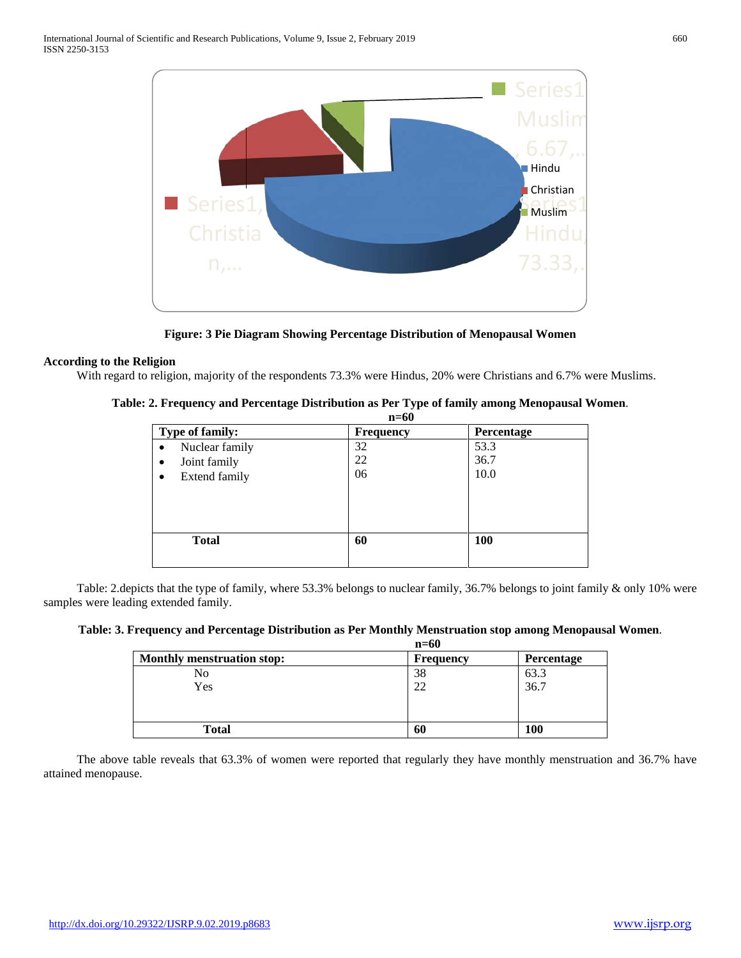

**Figure: 3 Pie Diagram Showing Percentage Distribution of Menopausal Women**

### **According to the Religion**

With regard to religion, majority of the respondents 73.3% were Hindus, 20% were Christians and 6.7% were Muslims.

| Table: 2. Frequency and Percentage Distribution as Per Type of family among Menopausal Women. |  |  |
|-----------------------------------------------------------------------------------------------|--|--|
|-----------------------------------------------------------------------------------------------|--|--|

|                                                                       | $n=60$         |                      |  |  |  |  |
|-----------------------------------------------------------------------|----------------|----------------------|--|--|--|--|
| Type of family:                                                       | Frequency      | Percentage           |  |  |  |  |
| Nuclear family<br>٠<br>Joint family<br>٠<br><b>Extend family</b><br>٠ | 32<br>22<br>06 | 53.3<br>36.7<br>10.0 |  |  |  |  |
| <b>Total</b>                                                          | 60             | <b>100</b>           |  |  |  |  |

 Table: 2.depicts that the type of family, where 53.3% belongs to nuclear family, 36.7% belongs to joint family & only 10% were samples were leading extended family.

**Table: 3. Frequency and Percentage Distribution as Per Monthly Menstruation stop among Menopausal Women**.

|                                   | $n=60$    |            |
|-----------------------------------|-----------|------------|
| <b>Monthly menstruation stop:</b> | Frequency | Percentage |
| No                                | 38        | 63.3       |
| Yes                               | 22        | 36.7       |
|                                   |           |            |
|                                   |           |            |
| <b>Total</b>                      | 60        | 100        |

 The above table reveals that 63.3% of women were reported that regularly they have monthly menstruation and 36.7% have attained menopause.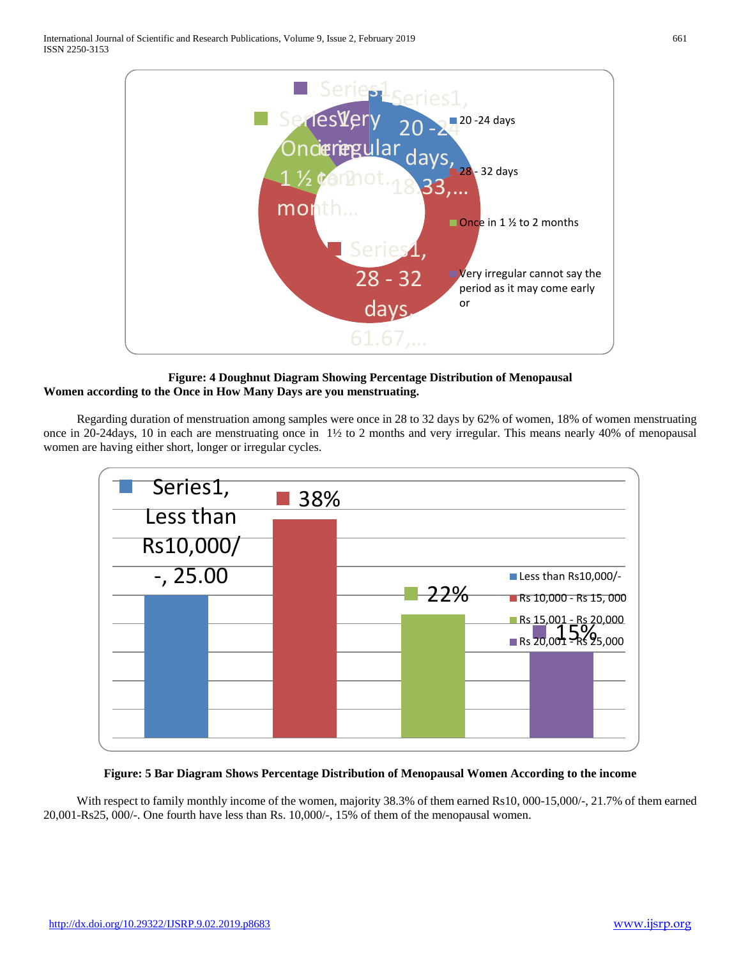

**Figure: 4 Doughnut Diagram Showing Percentage Distribution of Menopausal Women according to the Once in How Many Days are you menstruating.**

 Regarding duration of menstruation among samples were once in 28 to 32 days by 62% of women, 18% of women menstruating once in 20-24days, 10 in each are menstruating once in 1½ to 2 months and very irregular. This means nearly 40% of menopausal women are having either short, longer or irregular cycles.



**Figure: 5 Bar Diagram Shows Percentage Distribution of Menopausal Women According to the income**

 With respect to family monthly income of the women, majority 38.3% of them earned Rs10, 000-15,000/-, 21.7% of them earned 20,001-Rs25, 000/-. One fourth have less than Rs. 10,000/-, 15% of them of the menopausal women.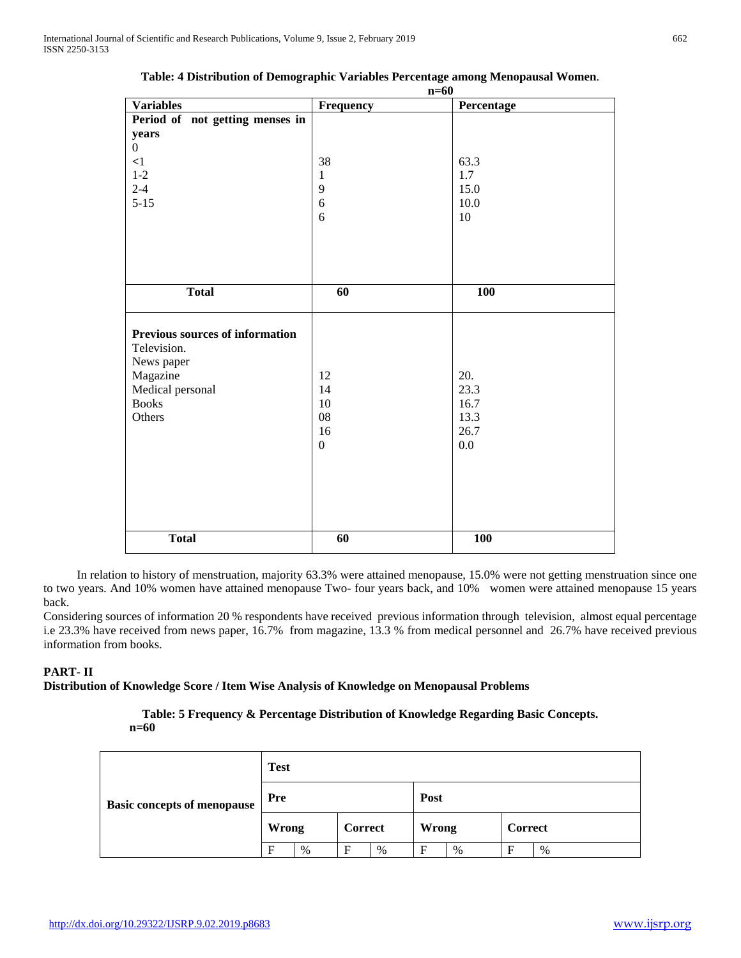|                                                                     |                  | $n=60$     |
|---------------------------------------------------------------------|------------------|------------|
| <b>Variables</b>                                                    | Frequency        | Percentage |
| Period of not getting menses in                                     |                  |            |
| years                                                               |                  |            |
| $\overline{0}$                                                      |                  |            |
| $\leq$ 1                                                            | 38               | 63.3       |
| $1-2$                                                               | $\mathbf{1}$     | 1.7        |
| $2 - 4$                                                             | $\overline{9}$   | 15.0       |
| $5 - 15$                                                            | $\sqrt{6}$       | 10.0       |
|                                                                     | 6                | 10         |
|                                                                     |                  |            |
| <b>Total</b>                                                        | 60               | 100        |
| <b>Previous sources of information</b><br>Television.<br>News paper |                  |            |
| Magazine                                                            | 12               | 20.        |
| Medical personal                                                    | 14               | 23.3       |
| <b>Books</b>                                                        | $10\,$           | 16.7       |
| Others                                                              | 08               | 13.3       |
|                                                                     | 16               | 26.7       |
|                                                                     | $\boldsymbol{0}$ | 0.0        |
|                                                                     |                  |            |
|                                                                     |                  |            |
|                                                                     |                  |            |
|                                                                     |                  |            |
| <b>Total</b>                                                        | 60               | 100        |

| Table: 4 Distribution of Demographic Variables Percentage among Menopausal Women |  |  |
|----------------------------------------------------------------------------------|--|--|
|----------------------------------------------------------------------------------|--|--|

 In relation to history of menstruation, majority 63.3% were attained menopause, 15.0% were not getting menstruation since one to two years. And 10% women have attained menopause Two- four years back, and 10% women were attained menopause 15 years back.

Considering sources of information 20 % respondents have received previous information through television, almost equal percentage i.e 23.3% have received from news paper, 16.7% from magazine, 13.3 % from medical personnel and 26.7% have received previous information from books.

## **PART- II**

#### **Distribution of Knowledge Score / Item Wise Analysis of Knowledge on Menopausal Problems**

**Table: 5 Frequency & Percentage Distribution of Knowledge Regarding Basic Concepts. n=60**

|                                    | <b>Test</b>  |   |                |      |       |      |                |      |  |
|------------------------------------|--------------|---|----------------|------|-------|------|----------------|------|--|
| <b>Basic concepts of menopause</b> | Pre          |   |                |      | Post  |      |                |      |  |
|                                    | <b>Wrong</b> |   | <b>Correct</b> |      | Wrong |      | <b>Correct</b> |      |  |
|                                    | F            | % | F              | $\%$ | F     | $\%$ | E              | $\%$ |  |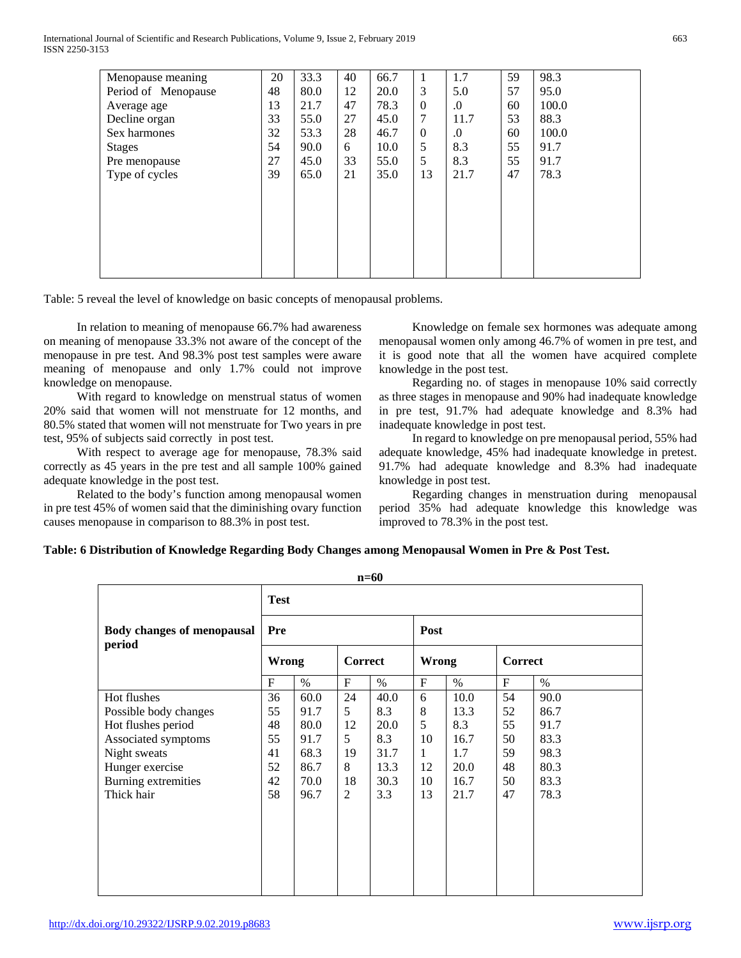International Journal of Scientific and Research Publications, Volume 9, Issue 2, February 2019 663 ISSN 2250-3153

| Menopause meaning   | 20 | 33.3 | 40 | 66.7 | 1        | 1.7        | 59 | 98.3  |
|---------------------|----|------|----|------|----------|------------|----|-------|
| Period of Menopause | 48 | 80.0 | 12 | 20.0 | 3        | 5.0        | 57 | 95.0  |
| Average age         | 13 | 21.7 | 47 | 78.3 | $\Omega$ | $\Omega$ . | 60 | 100.0 |
| Decline organ       | 33 | 55.0 | 27 | 45.0 | 7        | 11.7       | 53 | 88.3  |
| Sex harmones        | 32 | 53.3 | 28 | 46.7 | $\theta$ | $\Omega$ . | 60 | 100.0 |
| <b>Stages</b>       | 54 | 90.0 | 6  | 10.0 | 5        | 8.3        | 55 | 91.7  |
| Pre menopause       | 27 | 45.0 | 33 | 55.0 | 5        | 8.3        | 55 | 91.7  |
| Type of cycles      | 39 | 65.0 | 21 | 35.0 | 13       | 21.7       | 47 | 78.3  |
|                     |    |      |    |      |          |            |    |       |
|                     |    |      |    |      |          |            |    |       |
|                     |    |      |    |      |          |            |    |       |
|                     |    |      |    |      |          |            |    |       |
|                     |    |      |    |      |          |            |    |       |
|                     |    |      |    |      |          |            |    |       |
|                     |    |      |    |      |          |            |    |       |

Table: 5 reveal the level of knowledge on basic concepts of menopausal problems.

 In relation to meaning of menopause 66.7% had awareness on meaning of menopause 33.3% not aware of the concept of the menopause in pre test. And 98.3% post test samples were aware meaning of menopause and only 1.7% could not improve knowledge on menopause.

 With regard to knowledge on menstrual status of women 20% said that women will not menstruate for 12 months, and 80.5% stated that women will not menstruate for Two years in pre test, 95% of subjects said correctly in post test.

 With respect to average age for menopause, 78.3% said correctly as 45 years in the pre test and all sample 100% gained adequate knowledge in the post test.

 Related to the body's function among menopausal women in pre test 45% of women said that the diminishing ovary function causes menopause in comparison to 88.3% in post test.

 Knowledge on female sex hormones was adequate among menopausal women only among 46.7% of women in pre test, and it is good note that all the women have acquired complete knowledge in the post test.

 Regarding no. of stages in menopause 10% said correctly as three stages in menopause and 90% had inadequate knowledge in pre test, 91.7% had adequate knowledge and 8.3% had inadequate knowledge in post test.

 In regard to knowledge on pre menopausal period, 55% had adequate knowledge, 45% had inadequate knowledge in pretest. 91.7% had adequate knowledge and 8.3% had inadequate knowledge in post test.

 Regarding changes in menstruation during menopausal period 35% had adequate knowledge this knowledge was improved to 78.3% in the post test.

## **Table: 6 Distribution of Knowledge Regarding Body Changes among Menopausal Women in Pre & Post Test.**

| $n=60$                                      |              |                                |    |       |              |         |           |      |  |  |
|---------------------------------------------|--------------|--------------------------------|----|-------|--------------|---------|-----------|------|--|--|
|                                             | <b>Test</b>  |                                |    |       |              |         |           |      |  |  |
| <b>Body changes of menopausal</b><br>period | Pre          |                                |    |       | Post         |         |           |      |  |  |
|                                             |              | <b>Correct</b><br><b>Wrong</b> |    | Wrong |              | Correct |           |      |  |  |
|                                             | $\mathbf{F}$ | $\%$                           | F  | $\%$  | $\mathbf F$  | $\%$    | $F_{\rm}$ | $\%$ |  |  |
| Hot flushes                                 | 36           | 60.0                           | 24 | 40.0  | 6            | 10.0    | 54        | 90.0 |  |  |
| Possible body changes                       | 55           | 91.7                           | 5  | 8.3   | 8            | 13.3    | 52        | 86.7 |  |  |
| Hot flushes period                          | 48           | 80.0                           | 12 | 20.0  | 5            | 8.3     | 55        | 91.7 |  |  |
| Associated symptoms                         | 55           | 91.7                           | 5  | 8.3   | 10           | 16.7    | 50        | 83.3 |  |  |
| Night sweats                                | 41           | 68.3                           | 19 | 31.7  | $\mathbf{1}$ | 1.7     | 59        | 98.3 |  |  |
| Hunger exercise                             | 52           | 86.7                           | 8  | 13.3  | 12           | 20.0    | 48        | 80.3 |  |  |
| Burning extremities                         | 42           | 70.0                           | 18 | 30.3  | 10           | 16.7    | 50        | 83.3 |  |  |
| Thick hair                                  | 58           | 96.7                           | 2  | 3.3   | 13           | 21.7    | 47        | 78.3 |  |  |
|                                             |              |                                |    |       |              |         |           |      |  |  |
|                                             |              |                                |    |       |              |         |           |      |  |  |
|                                             |              |                                |    |       |              |         |           |      |  |  |
|                                             |              |                                |    |       |              |         |           |      |  |  |
|                                             |              |                                |    |       |              |         |           |      |  |  |
|                                             |              |                                |    |       |              |         |           |      |  |  |
|                                             |              |                                |    |       |              |         |           |      |  |  |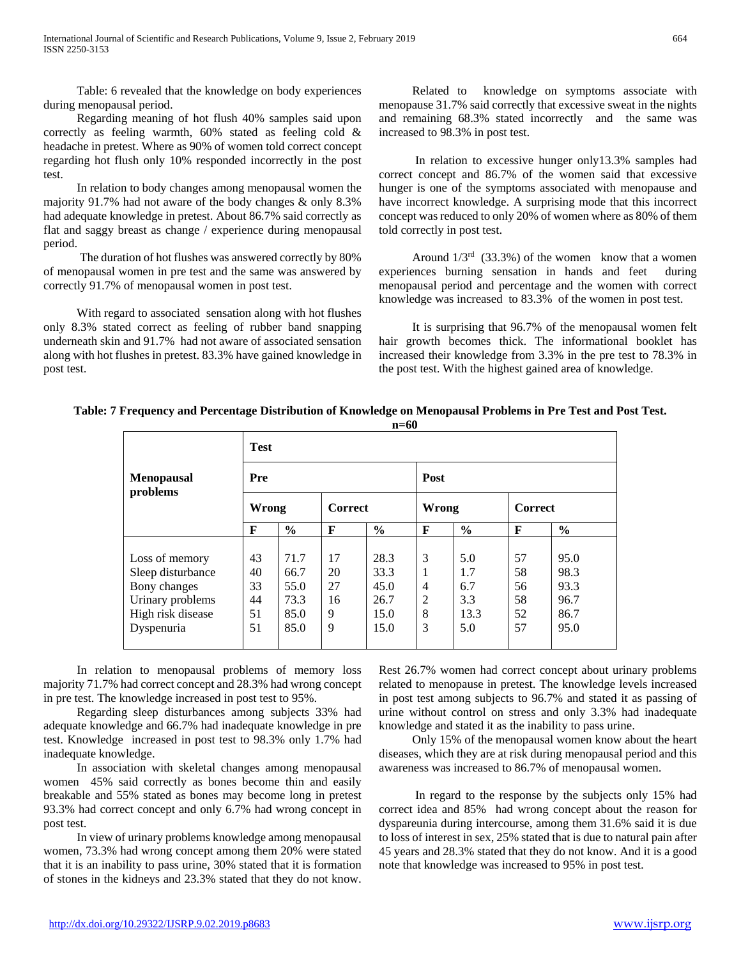Table: 6 revealed that the knowledge on body experiences during menopausal period.

 Regarding meaning of hot flush 40% samples said upon correctly as feeling warmth, 60% stated as feeling cold & headache in pretest. Where as 90% of women told correct concept regarding hot flush only 10% responded incorrectly in the post test.

 In relation to body changes among menopausal women the majority 91.7% had not aware of the body changes & only 8.3% had adequate knowledge in pretest. About 86.7% said correctly as flat and saggy breast as change / experience during menopausal period.

 The duration of hot flushes was answered correctly by 80% of menopausal women in pre test and the same was answered by correctly 91.7% of menopausal women in post test.

 With regard to associated sensation along with hot flushes only 8.3% stated correct as feeling of rubber band snapping underneath skin and 91.7% had not aware of associated sensation along with hot flushes in pretest. 83.3% have gained knowledge in post test.

 Related to knowledge on symptoms associate with menopause 31.7% said correctly that excessive sweat in the nights and remaining 68.3% stated incorrectly and the same was increased to 98.3% in post test.

 In relation to excessive hunger only13.3% samples had correct concept and 86.7% of the women said that excessive hunger is one of the symptoms associated with menopause and have incorrect knowledge. A surprising mode that this incorrect concept was reduced to only 20% of women where as 80% of them told correctly in post test.

Around  $1/3^{rd}$  (33.3%) of the women know that a women experiences burning sensation in hands and feet during menopausal period and percentage and the women with correct knowledge was increased to 83.3% of the women in post test.

 It is surprising that 96.7% of the menopausal women felt hair growth becomes thick. The informational booklet has increased their knowledge from 3.3% in the pre test to 78.3% in the post test. With the highest gained area of knowledge.

**n=60 Menopausal problems Test Pre Post Wrong Correct Wrong Correct F % F % F % F %** Loss of memory Sleep disturbance Bony changes Urinary problems High risk disease Dyspenuria 43 40 33 44 51 51 71.7 66.7 55.0 73.3 85.0 85.0 17 20 27 16 9 9 28.3 33.3 45.0 26.7 15.0 15.0 3 1 4 2 8 3 5.0 1.7 6.7 3.3 13.3 5.0 57 58 56 58 52 57 95.0 98.3 93.3 96.7 86.7 95.0

 In relation to menopausal problems of memory loss majority 71.7% had correct concept and 28.3% had wrong concept in pre test. The knowledge increased in post test to 95%.

 Regarding sleep disturbances among subjects 33% had adequate knowledge and 66.7% had inadequate knowledge in pre test. Knowledge increased in post test to 98.3% only 1.7% had inadequate knowledge.

 In association with skeletal changes among menopausal women 45% said correctly as bones become thin and easily breakable and 55% stated as bones may become long in pretest 93.3% had correct concept and only 6.7% had wrong concept in post test.

 In view of urinary problems knowledge among menopausal women, 73.3% had wrong concept among them 20% were stated that it is an inability to pass urine, 30% stated that it is formation of stones in the kidneys and 23.3% stated that they do not know.

Rest 26.7% women had correct concept about urinary problems related to menopause in pretest. The knowledge levels increased in post test among subjects to 96.7% and stated it as passing of urine without control on stress and only 3.3% had inadequate knowledge and stated it as the inability to pass urine.

 Only 15% of the menopausal women know about the heart diseases, which they are at risk during menopausal period and this awareness was increased to 86.7% of menopausal women.

 In regard to the response by the subjects only 15% had correct idea and 85% had wrong concept about the reason for dyspareunia during intercourse, among them 31.6% said it is due to loss of interest in sex, 25% stated that is due to natural pain after 45 years and 28.3% stated that they do not know. And it is a good note that knowledge was increased to 95% in post test.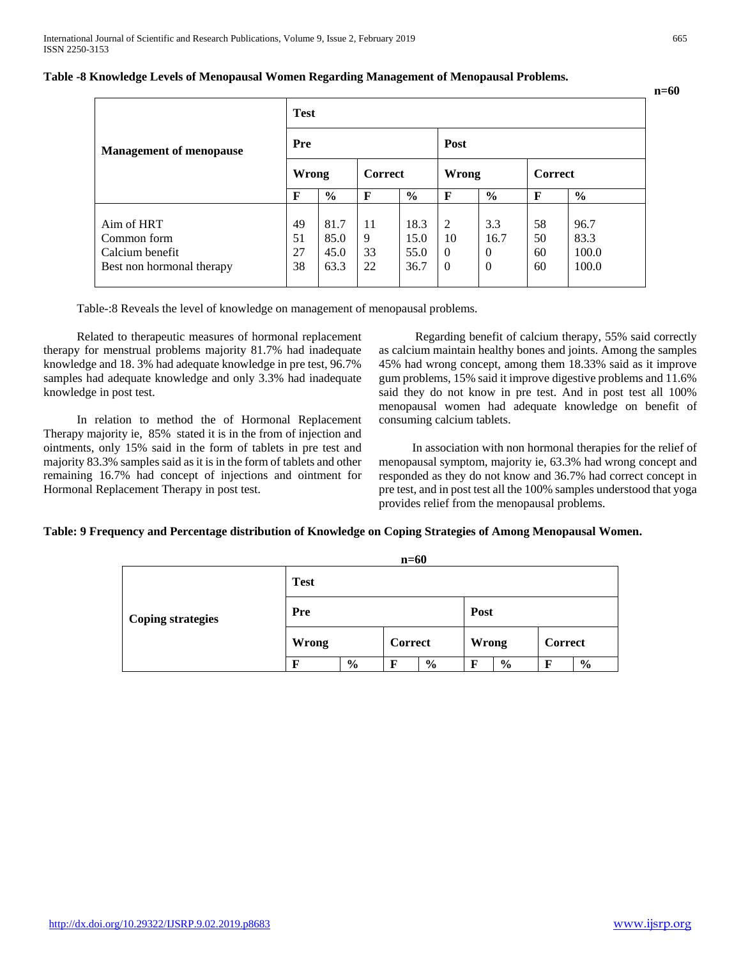|                                | <b>Test</b> |                         |    |               |              |                |                |               |
|--------------------------------|-------------|-------------------------|----|---------------|--------------|----------------|----------------|---------------|
| <b>Management of menopause</b> | <b>Pre</b>  |                         |    | Post          |              |                |                |               |
|                                |             | <b>Correct</b><br>Wrong |    |               | <b>Wrong</b> |                | <b>Correct</b> |               |
|                                | F           | $\frac{0}{0}$           | F  | $\frac{0}{0}$ | F            | $\frac{6}{6}$  | $\mathbf F$    | $\frac{0}{0}$ |
| Aim of HRT                     | 49          | 81.7                    | 11 | 18.3          | 2            | 3.3            | 58             | 96.7          |
| Common form                    | 51          | 85.0                    | 9  | 15.0          | 10           | 16.7           | 50             | 83.3          |
| Calcium benefit                | 27          | 45.0                    | 33 | 55.0          | $\theta$     | $\theta$       | 60             | 100.0         |
| Best non hormonal therapy      | 38          | 63.3                    | 22 | 36.7          | $\theta$     | $\overline{0}$ | 60             | 100.0         |

#### **Table -8 Knowledge Levels of Menopausal Women Regarding Management of Menopausal Problems.**

Table-:8 Reveals the level of knowledge on management of menopausal problems.

 Related to therapeutic measures of hormonal replacement therapy for menstrual problems majority 81.7% had inadequate knowledge and 18. 3% had adequate knowledge in pre test, 96.7% samples had adequate knowledge and only 3.3% had inadequate knowledge in post test.

 In relation to method the of Hormonal Replacement Therapy majority ie, 85% stated it is in the from of injection and ointments, only 15% said in the form of tablets in pre test and majority 83.3% samples said as it is in the form of tablets and other remaining 16.7% had concept of injections and ointment for Hormonal Replacement Therapy in post test.

 Regarding benefit of calcium therapy, 55% said correctly as calcium maintain healthy bones and joints. Among the samples 45% had wrong concept, among them 18.33% said as it improve gum problems, 15% said it improve digestive problems and 11.6% said they do not know in pre test. And in post test all 100% menopausal women had adequate knowledge on benefit of consuming calcium tablets.

 In association with non hormonal therapies for the relief of menopausal symptom, majority ie, 63.3% had wrong concept and responded as they do not know and 36.7% had correct concept in pre test, and in post test all the 100% samples understood that yoga provides relief from the menopausal problems.

#### **Table: 9 Frequency and Percentage distribution of Knowledge on Coping Strategies of Among Menopausal Women.**

|                          |              |               | $n=60$         |               |              |               |                |               |
|--------------------------|--------------|---------------|----------------|---------------|--------------|---------------|----------------|---------------|
|                          | <b>Test</b>  |               |                |               |              |               |                |               |
| <b>Coping strategies</b> | Pre          |               |                |               | Post         |               |                |               |
|                          | <b>Wrong</b> |               | <b>Correct</b> |               | <b>Wrong</b> |               | <b>Correct</b> |               |
|                          | F            | $\frac{6}{9}$ | F              | $\frac{6}{9}$ | F            | $\frac{6}{9}$ | F              | $\frac{6}{6}$ |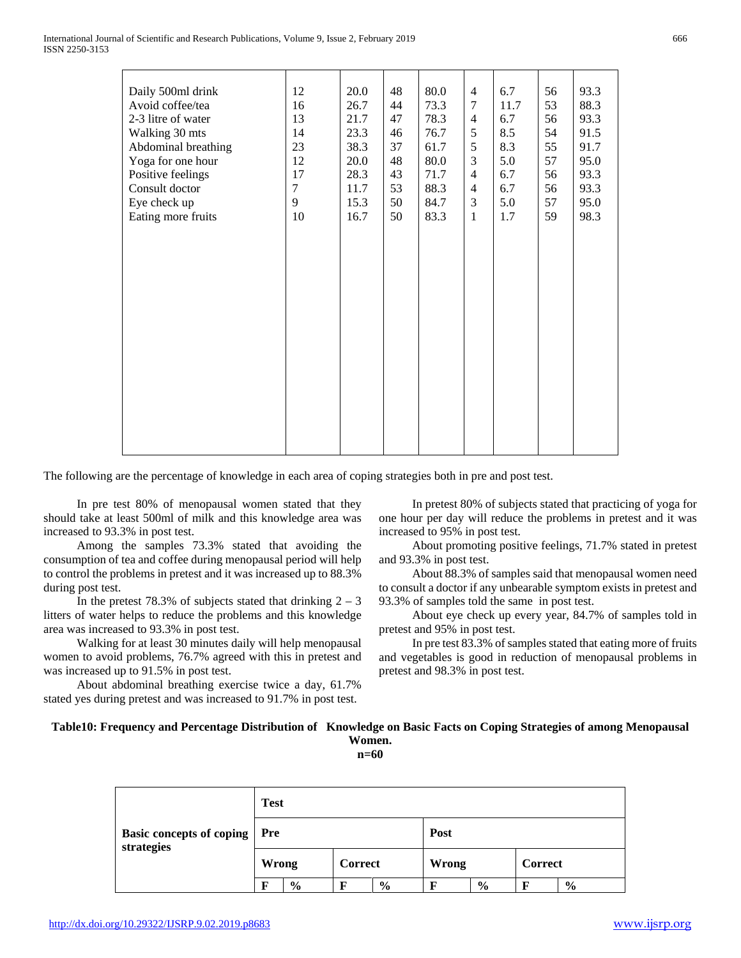The following are the percentage of knowledge in each area of coping strategies both in pre and post test.

 In pre test 80% of menopausal women stated that they should take at least 500ml of milk and this knowledge area was increased to 93.3% in post test.

 Among the samples 73.3% stated that avoiding the consumption of tea and coffee during menopausal period will help to control the problems in pretest and it was increased up to 88.3% during post test.

In the pretest 78.3% of subjects stated that drinking  $2 - 3$ litters of water helps to reduce the problems and this knowledge area was increased to 93.3% in post test.

 Walking for at least 30 minutes daily will help menopausal women to avoid problems, 76.7% agreed with this in pretest and was increased up to 91.5% in post test.

 About abdominal breathing exercise twice a day, 61.7% stated yes during pretest and was increased to 91.7% in post test.

 In pretest 80% of subjects stated that practicing of yoga for one hour per day will reduce the problems in pretest and it was increased to 95% in post test.

 About promoting positive feelings, 71.7% stated in pretest and 93.3% in post test.

 About 88.3% of samples said that menopausal women need to consult a doctor if any unbearable symptom exists in pretest and 93.3% of samples told the same in post test.

 About eye check up every year, 84.7% of samples told in pretest and 95% in post test.

 In pre test 83.3% of samples stated that eating more of fruits and vegetables is good in reduction of menopausal problems in pretest and 98.3% in post test.

**Table10: Frequency and Percentage Distribution of Knowledge on Basic Facts on Coping Strategies of among Menopausal Women. n=60**

|                                               | <b>Test</b> |      |         |      |              |      |         |               |  |
|-----------------------------------------------|-------------|------|---------|------|--------------|------|---------|---------------|--|
| <b>Basic concepts of coping</b><br>strategies | Pre         |      |         |      | Post         |      |         |               |  |
|                                               | Wrong       |      | Correct |      | <b>Wrong</b> |      | Correct |               |  |
|                                               | F           | $\%$ | F       | $\%$ |              | $\%$ | F       | $\frac{0}{0}$ |  |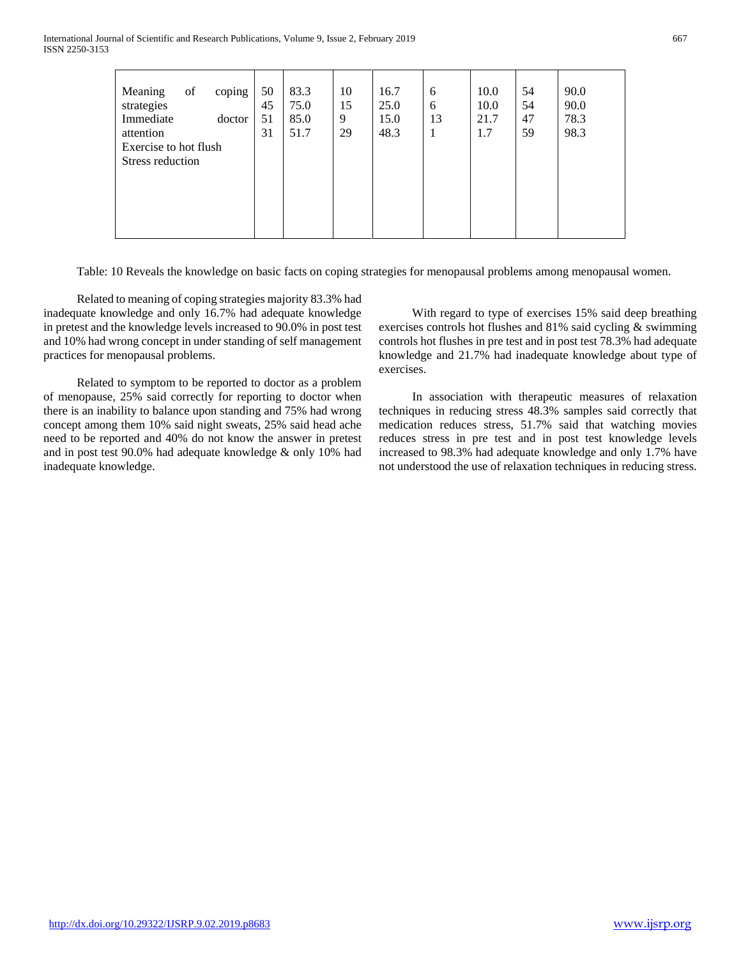International Journal of Scientific and Research Publications, Volume 9, Issue 2, February 2019 667 ISSN 2250-3153

| of<br>coping<br>Meaning<br>strategies<br>Immediate<br>doctor<br>attention<br>Exercise to hot flush<br>Stress reduction | 50<br>45<br>51<br>31 | 83.3<br>75.0<br>85.0<br>51.7 | 10<br>15<br>9<br>29 | 16.7<br>25.0<br>15.0<br>48.3 | 6<br>6<br>13<br>1 | 10.0<br>10.0<br>21.7<br>1.7 | 54<br>54<br>47<br>59 | 90.0<br>90.0<br>78.3<br>98.3 |
|------------------------------------------------------------------------------------------------------------------------|----------------------|------------------------------|---------------------|------------------------------|-------------------|-----------------------------|----------------------|------------------------------|

Table: 10 Reveals the knowledge on basic facts on coping strategies for menopausal problems among menopausal women.

 Related to meaning of coping strategies majority 83.3% had inadequate knowledge and only 16.7% had adequate knowledge in pretest and the knowledge levels increased to 90.0% in post test and 10% had wrong concept in under standing of self management practices for menopausal problems.

 Related to symptom to be reported to doctor as a problem of menopause, 25% said correctly for reporting to doctor when there is an inability to balance upon standing and 75% had wrong concept among them 10% said night sweats, 25% said head ache need to be reported and 40% do not know the answer in pretest and in post test 90.0% had adequate knowledge & only 10% had inadequate knowledge.

 With regard to type of exercises 15% said deep breathing exercises controls hot flushes and 81% said cycling & swimming controls hot flushes in pre test and in post test 78.3% had adequate knowledge and 21.7% had inadequate knowledge about type of exercises.

 In association with therapeutic measures of relaxation techniques in reducing stress 48.3% samples said correctly that medication reduces stress, 51.7% said that watching movies reduces stress in pre test and in post test knowledge levels increased to 98.3% had adequate knowledge and only 1.7% have not understood the use of relaxation techniques in reducing stress.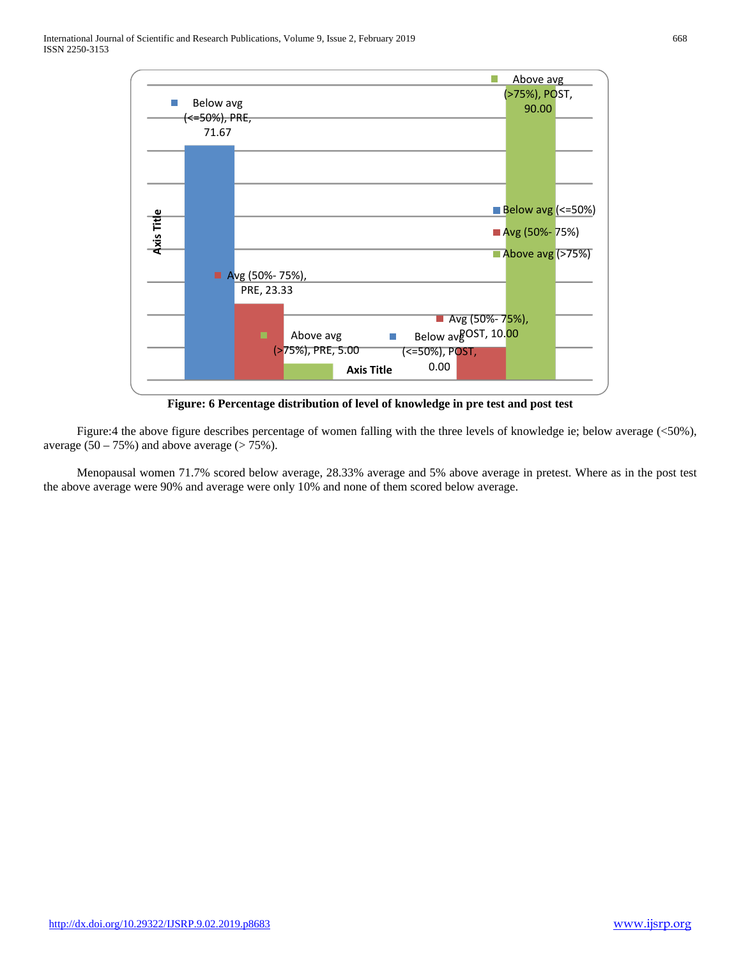International Journal of Scientific and Research Publications, Volume 9, Issue 2, February 2019 668 ISSN 2250-3153



**Figure: 6 Percentage distribution of level of knowledge in pre test and post test**

 Figure:4 the above figure describes percentage of women falling with the three levels of knowledge ie; below average (<50%), average  $(50 - 75%)$  and above average  $(> 75%).$ 

 Menopausal women 71.7% scored below average, 28.33% average and 5% above average in pretest. Where as in the post test the above average were 90% and average were only 10% and none of them scored below average.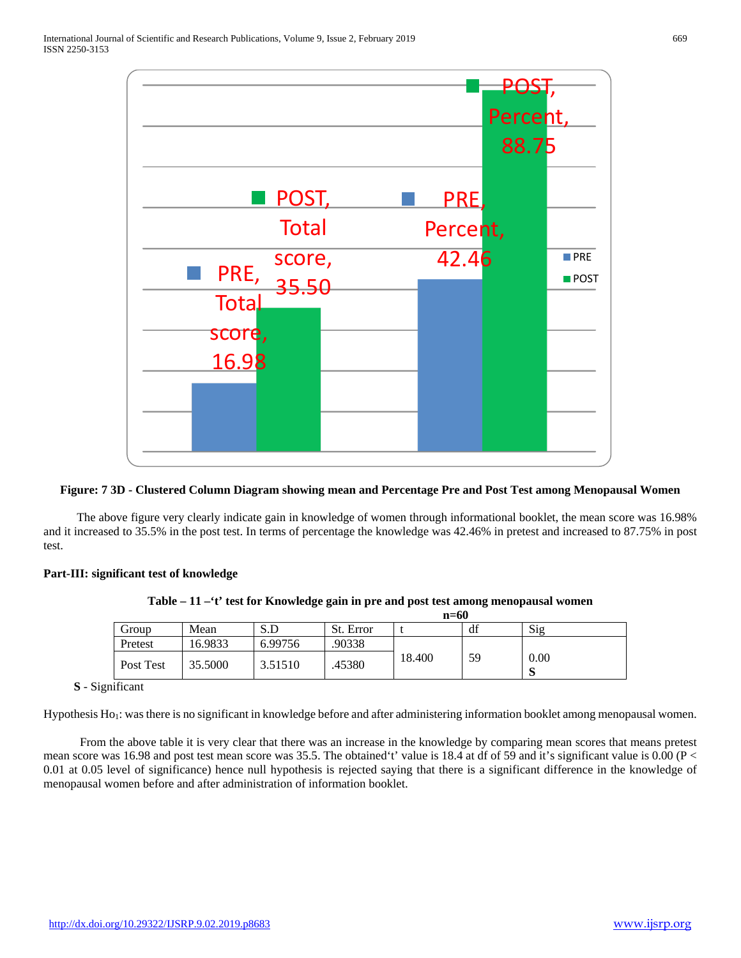

#### **Figure: 7 3D - Clustered Column Diagram showing mean and Percentage Pre and Post Test among Menopausal Women**

 The above figure very clearly indicate gain in knowledge of women through informational booklet, the mean score was 16.98% and it increased to 35.5% in the post test. In terms of percentage the knowledge was 42.46% in pretest and increased to 87.75% in post test.

#### **Part-III: significant test of knowledge**

|           |         |         | $n=60$    |        |    |           |  |  |  |  |  |  |
|-----------|---------|---------|-----------|--------|----|-----------|--|--|--|--|--|--|
| Group     | Mean    | S.D     | St. Error |        | df | Sig       |  |  |  |  |  |  |
| Pretest   | 16.9833 | 6.99756 | .90338    |        |    |           |  |  |  |  |  |  |
| Post Test | 35.5000 | 3.51510 | .45380    | 18.400 | 59 | 0.00<br>S |  |  |  |  |  |  |

**Table – 11 –'t' test for Knowledge gain in pre and post test among menopausal women**

 **S** - Significant

Hypothesis Ho<sub>1</sub>: was there is no significant in knowledge before and after administering information booklet among menopausal women.

 From the above table it is very clear that there was an increase in the knowledge by comparing mean scores that means pretest mean score was 16.98 and post test mean score was 35.5. The obtained 't' value is 18.4 at df of 59 and it's significant value is 0.00 (P < 0.01 at 0.05 level of significance) hence null hypothesis is rejected saying that there is a significant difference in the knowledge of menopausal women before and after administration of information booklet.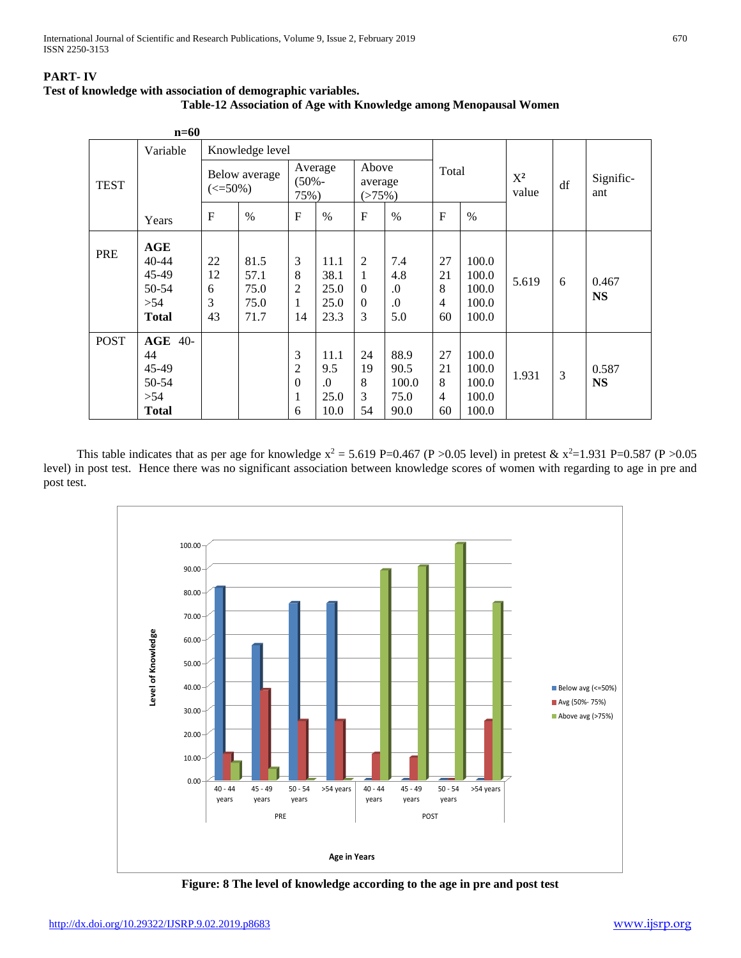## **PART- IV**



|             | $n=60$                                                        |                            |                                      |                                                   |                                           |                                     |                                       |                          |                                           |                |    |                    |
|-------------|---------------------------------------------------------------|----------------------------|--------------------------------------|---------------------------------------------------|-------------------------------------------|-------------------------------------|---------------------------------------|--------------------------|-------------------------------------------|----------------|----|--------------------|
|             | Variable                                                      |                            | Knowledge level                      |                                                   |                                           |                                     |                                       |                          |                                           |                |    |                    |
| <b>TEST</b> |                                                               | $\left( \leq 50\% \right)$ | Below average                        |                                                   | Average<br>$(50% -$<br>75%)               |                                     | Above<br>average<br>(>75%)            | Total                    |                                           | $X^2$<br>value | df | Signific-<br>ant   |
|             | Years                                                         | $\mathbf{F}$               | $\%$                                 | F                                                 | $\frac{0}{0}$                             | $\mathbf{F}$                        | $\%$                                  | $\mathbf{F}$             | $\frac{0}{0}$                             |                |    |                    |
| PRE         | <b>AGE</b><br>40-44<br>45-49<br>50-54<br>>54<br><b>Total</b>  | 22<br>12<br>6<br>3<br>43   | 81.5<br>57.1<br>75.0<br>75.0<br>71.7 | 3<br>8<br>$\overline{2}$<br>1<br>14               | 11.1<br>38.1<br>25.0<br>25.0<br>23.3      | 2<br>1<br>$\Omega$<br>$\Omega$<br>3 | 7.4<br>4.8<br>$\Omega$ .<br>.0<br>5.0 | 27<br>21<br>8<br>4<br>60 | 100.0<br>100.0<br>100.0<br>100.0<br>100.0 | 5.619          | 6  | 0.467<br><b>NS</b> |
| <b>POST</b> | <b>AGE 40-</b><br>44<br>45-49<br>50-54<br>>54<br><b>Total</b> |                            |                                      | 3<br>$\overline{2}$<br>$\boldsymbol{0}$<br>1<br>6 | 11.1<br>9.5<br>$\Omega$ .<br>25.0<br>10.0 | 24<br>19<br>8<br>3<br>54            | 88.9<br>90.5<br>100.0<br>75.0<br>90.0 | 27<br>21<br>8<br>4<br>60 | 100.0<br>100.0<br>100.0<br>100.0<br>100.0 | 1.931          | 3  | 0.587<br><b>NS</b> |

This table indicates that as per age for knowledge  $x^2 = 5.619$  P=0.467 (P >0.05 level) in pretest &  $x^2=1.931$  P=0.587 (P >0.05 level) in post test. Hence there was no significant association between knowledge scores of women with regarding to age in pre and post test.



**Figure: 8 The level of knowledge according to the age in pre and post test**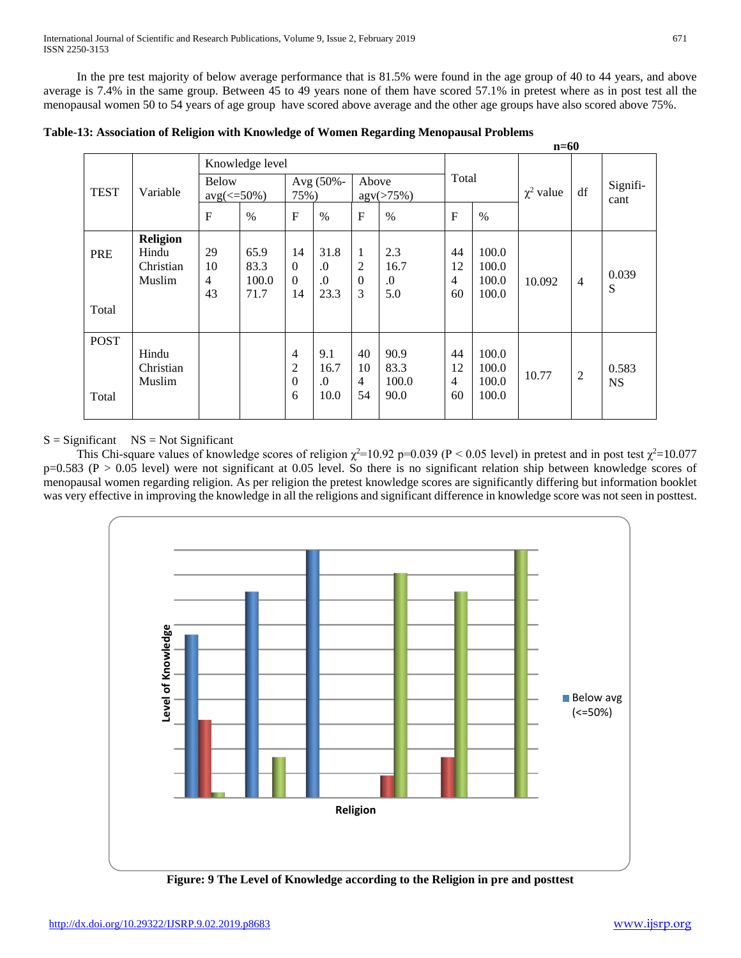In the pre test majority of below average performance that is 81.5% were found in the age group of 40 to 44 years, and above average is 7.4% in the same group. Between 45 to 49 years none of them have scored 57.1% in pretest where as in post test all the menopausal women 50 to 54 years of age group have scored above average and the other age groups have also scored above 75%.

|             |                 |                  |                 |                |            |                     |            |              |       | 11–vv          |                |           |
|-------------|-----------------|------------------|-----------------|----------------|------------|---------------------|------------|--------------|-------|----------------|----------------|-----------|
|             |                 |                  | Knowledge level |                |            |                     |            |              |       |                |                |           |
|             |                 | <b>Below</b>     |                 |                | Avg (50%-  | Above               |            | Total        |       |                |                | Signifi-  |
| <b>TEST</b> | Variable        | $avg(\leq 50\%)$ |                 | 75%)           |            | $\text{agv}(>75\%)$ |            |              |       | $\chi^2$ value | df             | cant      |
|             |                 | $\mathbf{F}$     | $\%$            | $\overline{F}$ | $\%$       | $\mathbf{F}$        | $\%$       | $\mathbf{F}$ | $\%$  |                |                |           |
|             | <b>Religion</b> |                  |                 |                |            |                     |            |              |       |                |                |           |
| PRE         | Hindu           | 29               | 65.9            | 14             | 31.8       | 1                   | 2.3        | 44           | 100.0 |                |                |           |
|             | Christian       | 10               | 83.3            | $\Omega$       | $\Omega$ . | $\overline{2}$      | 16.7       | 12           | 100.0 |                |                |           |
|             | Muslim          | $\overline{4}$   | 100.0           | $\Omega$       | $\Omega$   | $\overline{0}$      | $\Omega$ . | 4            | 100.0 | 10.092         | $\overline{4}$ | 0.039     |
|             |                 | 43               | 71.7            | 14             | 23.3       | 3                   | 5.0        | 60           | 100.0 |                |                | S         |
| Total       |                 |                  |                 |                |            |                     |            |              |       |                |                |           |
|             |                 |                  |                 |                |            |                     |            |              |       |                |                |           |
| <b>POST</b> |                 |                  |                 |                |            |                     |            |              |       |                |                |           |
|             | Hindu           |                  |                 | $\overline{4}$ | 9.1        | 40                  | 90.9       | 44           | 100.0 |                |                |           |
|             | Christian       |                  |                 | $\overline{2}$ | 16.7       | 10                  | 83.3       | 12           | 100.0 |                |                | 0.583     |
|             | Muslim          |                  |                 | $\theta$       | $\Omega$   | $\overline{4}$      | 100.0      | 4            | 100.0 | 10.77          | $\overline{c}$ | <b>NS</b> |
| Total       |                 |                  |                 | 6              | 10.0       | 54                  | 90.0       | 60           | 100.0 |                |                |           |
|             |                 |                  |                 |                |            |                     |            |              |       |                |                |           |

**Table-13: Association of Religion with Knowledge of Women Regarding Menopausal Problems**

 $S =$  Significant  $NS = Not$  Significant

This Chi-square values of knowledge scores of religion  $\chi^2$ =10.92 p=0.039 (P < 0.05 level) in pretest and in post test  $\chi^2$ =10.077  $p=0.583$  (P > 0.05 level) were not significant at 0.05 level. So there is no significant relation ship between knowledge scores of menopausal women regarding religion. As per religion the pretest knowledge scores are significantly differing but information booklet was very effective in improving the knowledge in all the religions and significant difference in knowledge score was not seen in posttest.



**n=60**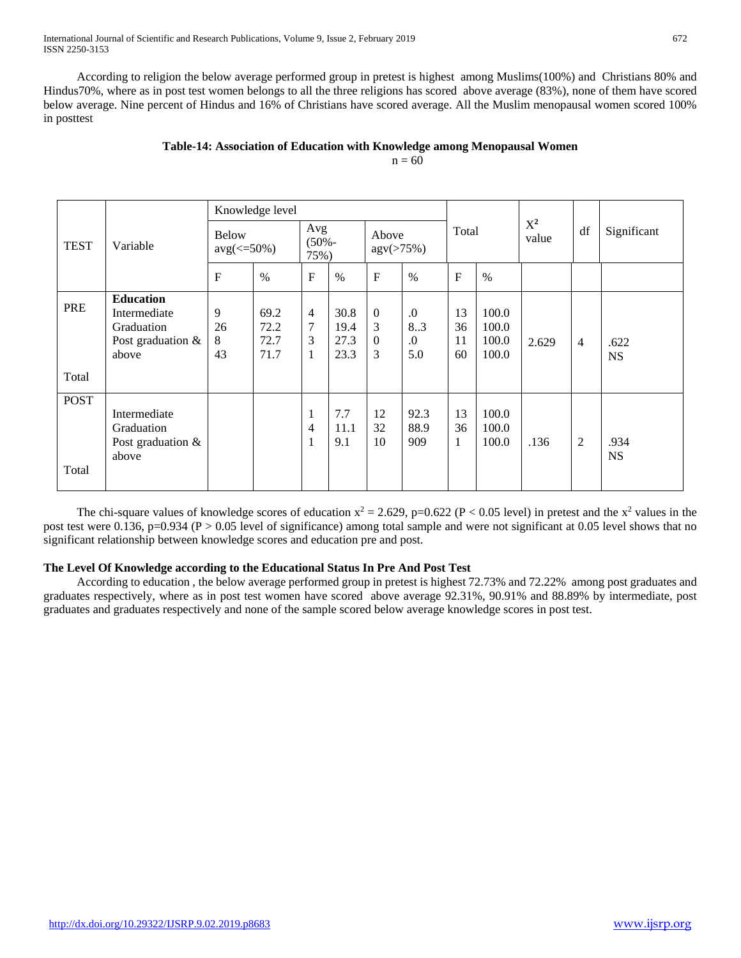International Journal of Scientific and Research Publications, Volume 9, Issue 2, February 2019 672 ISSN 2250-3153

 According to religion the below average performed group in pretest is highest among Muslims(100%) and Christians 80% and Hindus70%, where as in post test women belongs to all the three religions has scored above average (83%), none of them have scored below average. Nine percent of Hindus and 16% of Christians have scored average. All the Muslim menopausal women scored 100% in posttest

## **Table-14: Association of Education with Knowledge among Menopausal Women**

 $n = 60$ 

|                      |                                                                              |                    | Knowledge level                  |                                          |                              |                                            |                                     |                          |                                  |                |                |                   |
|----------------------|------------------------------------------------------------------------------|--------------------|----------------------------------|------------------------------------------|------------------------------|--------------------------------------------|-------------------------------------|--------------------------|----------------------------------|----------------|----------------|-------------------|
| <b>TEST</b>          | Variable                                                                     |                    | <b>Below</b><br>$avg(\leq 50\%)$ |                                          | Avg<br>$(50% -$<br>75%)      |                                            | Above<br>agv(>75%)                  | Total                    |                                  | $X^2$<br>value | df             | Significant       |
|                      |                                                                              | $\mathbf{F}$       | $\%$                             | $\mathbf F$                              | $\%$                         | $\mathbf F$                                | $\frac{0}{0}$                       | $\overline{F}$           | $\frac{0}{0}$                    |                |                |                   |
| PRE<br>Total         | <b>Education</b><br>Intermediate<br>Graduation<br>Post graduation &<br>above | 9<br>26<br>8<br>43 | 69.2<br>72.2<br>72.7<br>71.7     | $\overline{4}$<br>7<br>3<br>$\mathbf{1}$ | 30.8<br>19.4<br>27.3<br>23.3 | $\overline{0}$<br>3<br>$\overline{0}$<br>3 | $\cdot$<br>8.3<br>$\Omega$ .<br>5.0 | 13<br>36<br>11<br>60     | 100.0<br>100.0<br>100.0<br>100.0 | 2.629          | $\overline{4}$ | .622<br><b>NS</b> |
| <b>POST</b><br>Total | Intermediate<br>Graduation<br>Post graduation $\&$<br>above                  |                    |                                  | $\mathbf 1$<br>4<br>1                    | 7.7<br>11.1<br>9.1           | 12<br>32<br>10                             | 92.3<br>88.9<br>909                 | 13<br>36<br>$\mathbf{1}$ | 100.0<br>100.0<br>100.0          | .136           | $\overline{c}$ | .934<br><b>NS</b> |

The chi-square values of knowledge scores of education  $x^2 = 2.629$ , p=0.622 (P < 0.05 level) in pretest and the  $x^2$  values in the post test were 0.136, p=0.934 (P > 0.05 level of significance) among total sample and were not significant at 0.05 level shows that no significant relationship between knowledge scores and education pre and post.

## **The Level Of Knowledge according to the Educational Status In Pre And Post Test**

 According to education , the below average performed group in pretest is highest 72.73% and 72.22% among post graduates and graduates respectively, where as in post test women have scored above average 92.31%, 90.91% and 88.89% by intermediate, post graduates and graduates respectively and none of the sample scored below average knowledge scores in post test.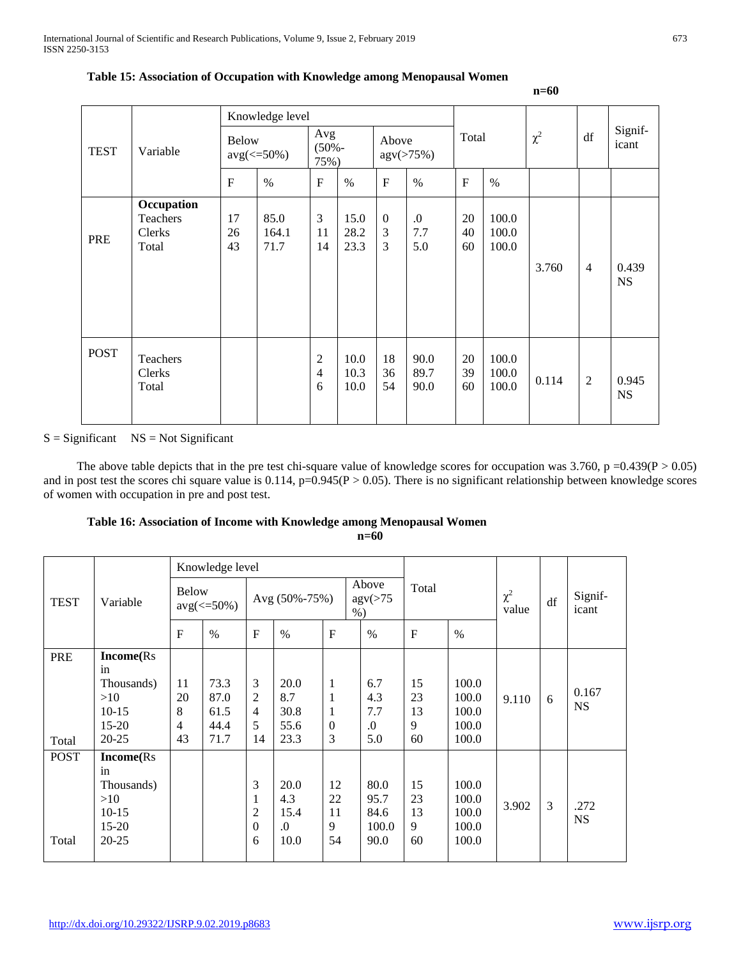|             |                                                  |                                  | Knowledge level       |                                       |                      |                            |                       |                |                         |          |                |                    |
|-------------|--------------------------------------------------|----------------------------------|-----------------------|---------------------------------------|----------------------|----------------------------|-----------------------|----------------|-------------------------|----------|----------------|--------------------|
| <b>TEST</b> | Variable                                         | <b>Below</b><br>$avg(\leq 50\%)$ |                       | Avg<br>$(50% -$<br>75%)               |                      | Above                      | agv(>75%)             | Total          |                         | $\chi^2$ | df             | Signif-<br>icant   |
|             |                                                  | $\mathbf F$                      | $\%$                  | $\mathbf{F}$                          | $\%$                 | $\mathbf{F}$               | $\%$                  | $\overline{F}$ | $\%$                    |          |                |                    |
| <b>PRE</b>  | Occupation<br>Teachers<br><b>Clerks</b><br>Total | 17<br>26<br>43                   | 85.0<br>164.1<br>71.7 | 3<br>11<br>14                         | 15.0<br>28.2<br>23.3 | $\boldsymbol{0}$<br>3<br>3 | $\cdot$<br>7.7<br>5.0 | 20<br>40<br>60 | 100.0<br>100.0<br>100.0 | 3.760    | $\overline{4}$ | 0.439<br><b>NS</b> |
| <b>POST</b> | Teachers<br>Clerks<br>Total                      |                                  |                       | $\overline{2}$<br>$\overline{4}$<br>6 | 10.0<br>10.3<br>10.0 | 18<br>36<br>54             | 90.0<br>89.7<br>90.0  | 20<br>39<br>60 | 100.0<br>100.0<br>100.0 | 0.114    | $\overline{2}$ | 0.945<br><b>NS</b> |

#### **Table 15: Association of Occupation with Knowledge among Menopausal Women**

#### $S =$  Significant  $NS = Not$  Significant

The above table depicts that in the pre test chi-square value of knowledge scores for occupation was  $3.760$ , p =0.439(P > 0.05) and in post test the scores chi square value is  $0.114$ ,  $p=0.945(P > 0.05)$ . There is no significant relationship between knowledge scores of women with occupation in pre and post test.

#### **Table 16: Association of Income with Knowledge among Menopausal Women n=60**

|                      |                                                                                   |                                       | Knowledge level                      |                                          |                                     |                                  |  |                                       |                           |                                           |                   |    |                    |
|----------------------|-----------------------------------------------------------------------------------|---------------------------------------|--------------------------------------|------------------------------------------|-------------------------------------|----------------------------------|--|---------------------------------------|---------------------------|-------------------------------------------|-------------------|----|--------------------|
| <b>TEST</b>          | Variable                                                                          |                                       | <b>Below</b><br>$avg(\leq 50\%)$     |                                          | Avg (50%-75%)                       |                                  |  | Above<br>$\text{agv}(>75)$<br>$%$ )   | Total                     |                                           | $\chi^2$<br>value | df | Signif-<br>icant   |
|                      |                                                                                   | F                                     | $\%$                                 | $\mathbf{F}$                             | $\%$                                | F                                |  | $\frac{0}{0}$                         | $\mathbf F$               | $\%$                                      |                   |    |                    |
| <b>PRE</b><br>Total  | <b>Income</b> (Rs<br>in<br>Thousands)<br>>10<br>$10-15$<br>$15 - 20$<br>$20 - 25$ | 11<br>20<br>8<br>$\overline{4}$<br>43 | 73.3<br>87.0<br>61.5<br>44.4<br>71.7 | 3<br>$\overline{2}$<br>4<br>5<br>14      | 20.0<br>8.7<br>30.8<br>55.6<br>23.3 | 1<br>1<br>1<br>$\mathbf{0}$<br>3 |  | 6.7<br>4.3<br>7.7<br>$\cdot$<br>5.0   | 15<br>23<br>13<br>9<br>60 | 100.0<br>100.0<br>100.0<br>100.0<br>100.0 | 9.110             | 6  | 0.167<br><b>NS</b> |
| <b>POST</b><br>Total | <b>Income</b> (Rs<br>in<br>Thousands)<br>>10<br>$10-15$<br>$15 - 20$<br>$20 - 25$ |                                       |                                      | 3<br>$\overline{2}$<br>$\mathbf{0}$<br>6 | 20.0<br>4.3<br>15.4<br>.0<br>10.0   | 12<br>22<br>11<br>9<br>54        |  | 80.0<br>95.7<br>84.6<br>100.0<br>90.0 | 15<br>23<br>13<br>9<br>60 | 100.0<br>100.0<br>100.0<br>100.0<br>100.0 | 3.902             | 3  | .272<br><b>NS</b>  |

**n=60**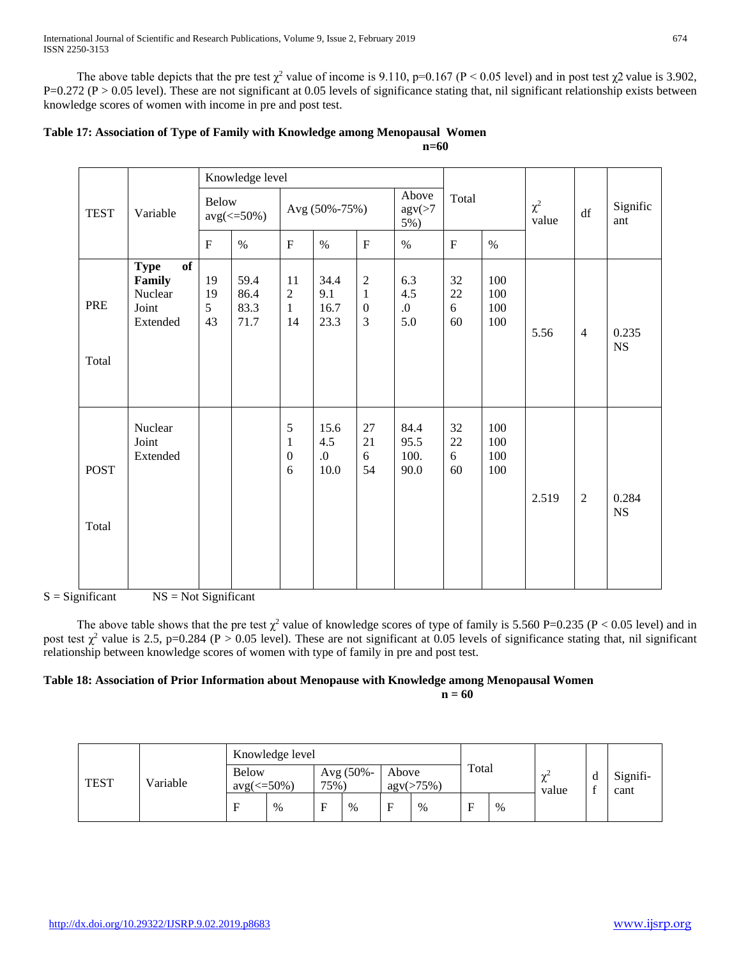The above table depicts that the pre test  $\chi^2$  value of income is 9.110, p=0.167 (P < 0.05 level) and in post test  $\chi^2$  value is 3.902,  $P=0.272$  (P > 0.05 level). These are not significant at 0.05 levels of significance stating that, nil significant relationship exists between knowledge scores of women with income in pre and post test.

|                      |                                                             |                     | Knowledge level              |                                                     |                             |                                                           |                                  |                         |                          |                   |                |                      |
|----------------------|-------------------------------------------------------------|---------------------|------------------------------|-----------------------------------------------------|-----------------------------|-----------------------------------------------------------|----------------------------------|-------------------------|--------------------------|-------------------|----------------|----------------------|
| <b>TEST</b>          | Variable                                                    | <b>Below</b>        | $avg(\leq 50\%)$             |                                                     | Avg (50%-75%)               |                                                           | Above<br>$\text{agv}(>7)$<br>5%) | Total                   |                          | $\chi^2$<br>value | df             | Signific<br>ant      |
|                      |                                                             | $\mathbf F$         | $\%$                         | $\boldsymbol{\mathrm{F}}$                           | $\%$                        | ${\bf F}$                                                 | $\%$                             | $\mathbf F$             | $\%$                     |                   |                |                      |
| PRE<br>Total         | of<br><b>Type</b><br>Family<br>Nuclear<br>Joint<br>Extended | 19<br>19<br>5<br>43 | 59.4<br>86.4<br>83.3<br>71.7 | 11<br>$\sqrt{2}$<br>$\mathbf{1}$<br>14              | 34.4<br>9.1<br>16.7<br>23.3 | $\boldsymbol{2}$<br>$\mathbf{1}$<br>$\boldsymbol{0}$<br>3 | 6.3<br>4.5<br>0.<br>5.0          | 32<br>$22\,$<br>6<br>60 | 100<br>100<br>100<br>100 | 5.56              | $\overline{4}$ | 0.235<br><b>NS</b>   |
| <b>POST</b><br>Total | Nuclear<br>Joint<br>Extended                                |                     |                              | $\sqrt{5}$<br>$\mathbf{1}$<br>$\boldsymbol{0}$<br>6 | 15.6<br>4.5<br>0.<br>10.0   | 27<br>21<br>6<br>54                                       | 84.4<br>95.5<br>100.<br>90.0     | 32<br>$22\,$<br>6<br>60 | 100<br>100<br>100<br>100 | 2.519             | $\overline{2}$ | 0.284<br>$_{\rm NS}$ |

| Table 17: Association of Type of Family with Knowledge among Menopausal Women |  |
|-------------------------------------------------------------------------------|--|
| $n=60$                                                                        |  |

 $S =$  Significant  $NS = Not$  Significant

The above table shows that the pre test  $\chi^2$  value of knowledge scores of type of family is 5.560 P=0.235 (P < 0.05 level) and in post test  $\chi^2$  value is 2.5, p=0.284 (P > 0.05 level). These are not significant at 0.05 levels of significance stating that, nil significant relationship between knowledge scores of women with type of family in pre and post test.

#### **Table 18: Association of Prior Information about Menopause with Knowledge among Menopausal Women n = 60**

| <b>TEST</b> | Variable | Knowledge level                  |      |                      |      |                              |      |       |      |                           |             |                  |
|-------------|----------|----------------------------------|------|----------------------|------|------------------------------|------|-------|------|---------------------------|-------------|------------------|
|             |          | <b>Below</b><br>$avg(\leq 50\%)$ |      | Avg $(50% -$<br>75%) |      | Above<br>$\text{agv}(>75\%)$ |      | Total |      | $\sim$<br>$\sim$<br>value | d<br>$\sim$ | Signifi-<br>cant |
|             |          | F                                | $\%$ | ┮                    | $\%$ | Е                            | $\%$ | Е     | $\%$ |                           |             |                  |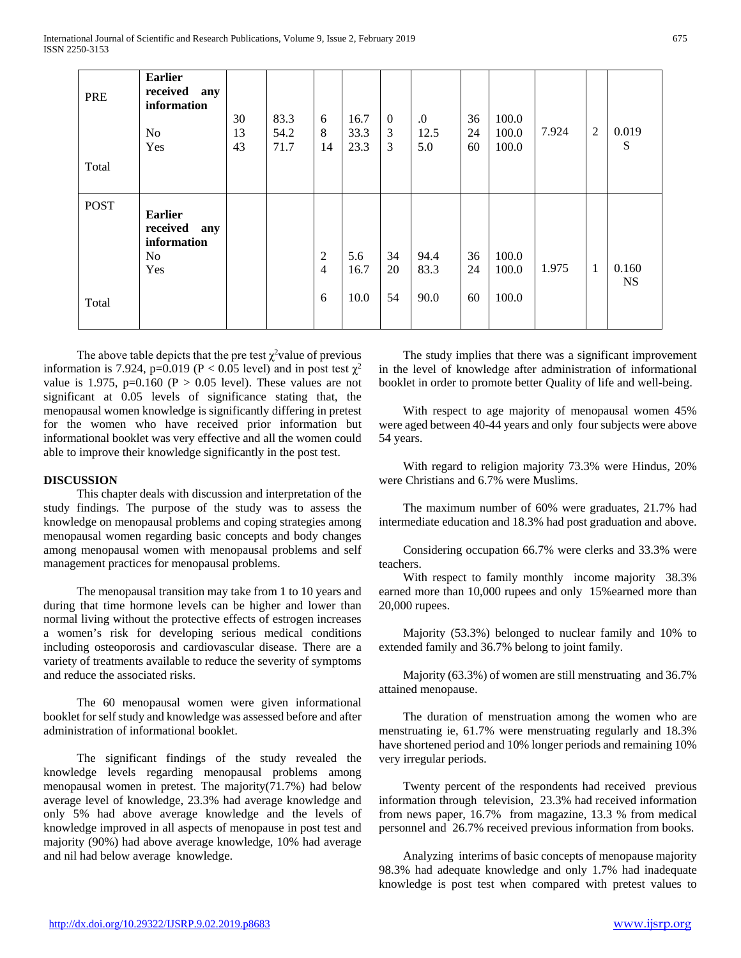| PRE<br>Total         | <b>Earlier</b><br>received<br>any<br>information<br>N <sub>o</sub><br>Yes | 30<br>13<br>43 | 83.3<br>54.2<br>71.7 | 6<br>8<br>14                          | 16.7<br>33.3<br>23.3 | $\boldsymbol{0}$<br>3<br>3 | 0.<br>12.5<br>5.0    | 36<br>24<br>60 | 100.0<br>100.0<br>100.0 | 7.924 | $\overline{2}$ | 0.019<br>S         |
|----------------------|---------------------------------------------------------------------------|----------------|----------------------|---------------------------------------|----------------------|----------------------------|----------------------|----------------|-------------------------|-------|----------------|--------------------|
| <b>POST</b><br>Total | <b>Earlier</b><br>received<br>any<br>information<br>N <sub>o</sub><br>Yes |                |                      | $\mathfrak{2}$<br>$\overline{4}$<br>6 | 5.6<br>16.7<br>10.0  | 34<br>20<br>54             | 94.4<br>83.3<br>90.0 | 36<br>24<br>60 | 100.0<br>100.0<br>100.0 | 1.975 | $\mathbf{1}$   | 0.160<br><b>NS</b> |

The above table depicts that the pre test  $\chi^2$  value of previous information is 7.924, p=0.019 (P < 0.05 level) and in post test  $\chi^2$ value is 1.975, p=0.160 ( $P > 0.05$  level). These values are not significant at 0.05 levels of significance stating that, the menopausal women knowledge is significantly differing in pretest for the women who have received prior information but informational booklet was very effective and all the women could able to improve their knowledge significantly in the post test.

#### **DISCUSSION**

 This chapter deals with discussion and interpretation of the study findings. The purpose of the study was to assess the knowledge on menopausal problems and coping strategies among menopausal women regarding basic concepts and body changes among menopausal women with menopausal problems and self management practices for menopausal problems.

 The menopausal transition may take from 1 to 10 years and during that time hormone levels can be higher and lower than normal living without the protective effects of estrogen increases a women's risk for developing serious medical conditions including osteoporosis and cardiovascular disease. There are a variety of treatments available to reduce the severity of symptoms and reduce the associated risks.

 The 60 menopausal women were given informational booklet for self study and knowledge was assessed before and after administration of informational booklet.

 The significant findings of the study revealed the knowledge levels regarding menopausal problems among menopausal women in pretest. The majority(71.7%) had below average level of knowledge, 23.3% had average knowledge and only 5% had above average knowledge and the levels of knowledge improved in all aspects of menopause in post test and majority (90%) had above average knowledge, 10% had average and nil had below average knowledge.

 The study implies that there was a significant improvement in the level of knowledge after administration of informational booklet in order to promote better Quality of life and well-being.

 With respect to age majority of menopausal women 45% were aged between 40-44 years and only four subjects were above 54 years.

 With regard to religion majority 73.3% were Hindus, 20% were Christians and 6.7% were Muslims.

 The maximum number of 60% were graduates, 21.7% had intermediate education and 18.3% had post graduation and above.

 Considering occupation 66.7% were clerks and 33.3% were teachers.

 With respect to family monthly income majority 38.3% earned more than 10,000 rupees and only 15%earned more than 20,000 rupees.

 Majority (53.3%) belonged to nuclear family and 10% to extended family and 36.7% belong to joint family.

 Majority (63.3%) of women are still menstruating and 36.7% attained menopause.

 The duration of menstruation among the women who are menstruating ie, 61.7% were menstruating regularly and 18.3% have shortened period and 10% longer periods and remaining 10% very irregular periods.

 Twenty percent of the respondents had received previous information through television, 23.3% had received information from news paper, 16.7% from magazine, 13.3 % from medical personnel and 26.7% received previous information from books.

 Analyzing interims of basic concepts of menopause majority 98.3% had adequate knowledge and only 1.7% had inadequate knowledge is post test when compared with pretest values to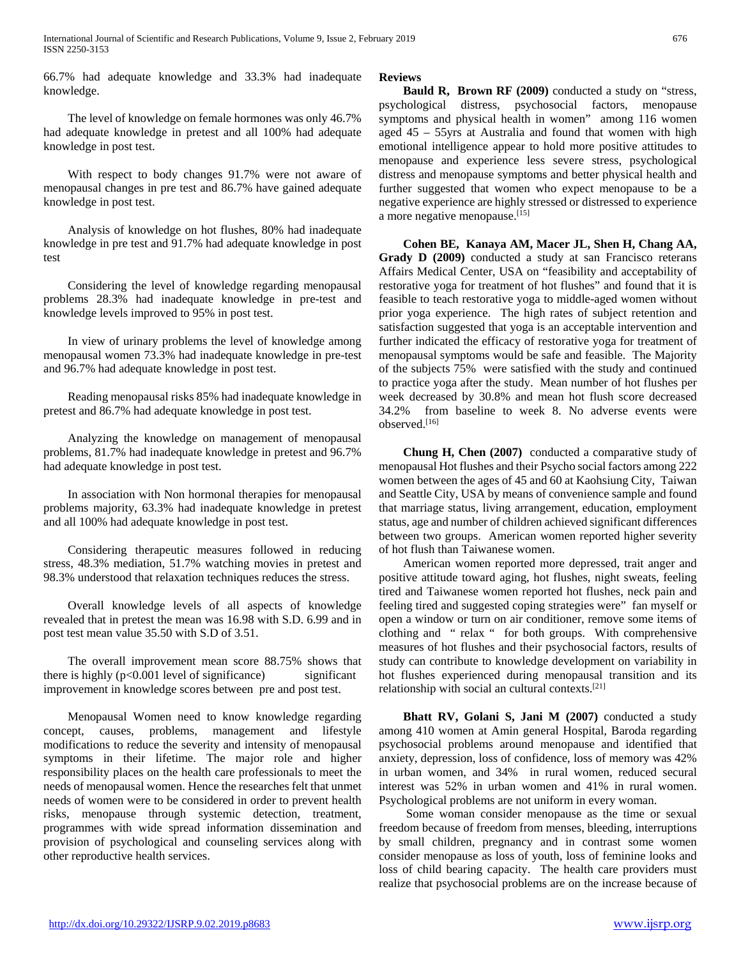66.7% had adequate knowledge and 33.3% had inadequate knowledge.

 The level of knowledge on female hormones was only 46.7% had adequate knowledge in pretest and all 100% had adequate knowledge in post test.

 With respect to body changes 91.7% were not aware of menopausal changes in pre test and 86.7% have gained adequate knowledge in post test.

 Analysis of knowledge on hot flushes, 80% had inadequate knowledge in pre test and 91.7% had adequate knowledge in post test

 Considering the level of knowledge regarding menopausal problems 28.3% had inadequate knowledge in pre-test and knowledge levels improved to 95% in post test.

 In view of urinary problems the level of knowledge among menopausal women 73.3% had inadequate knowledge in pre-test and 96.7% had adequate knowledge in post test.

 Reading menopausal risks 85% had inadequate knowledge in pretest and 86.7% had adequate knowledge in post test.

 Analyzing the knowledge on management of menopausal problems, 81.7% had inadequate knowledge in pretest and 96.7% had adequate knowledge in post test.

 In association with Non hormonal therapies for menopausal problems majority, 63.3% had inadequate knowledge in pretest and all 100% had adequate knowledge in post test.

 Considering therapeutic measures followed in reducing stress, 48.3% mediation, 51.7% watching movies in pretest and 98.3% understood that relaxation techniques reduces the stress.

 Overall knowledge levels of all aspects of knowledge revealed that in pretest the mean was 16.98 with S.D. 6.99 and in post test mean value 35.50 with S.D of 3.51.

 The overall improvement mean score 88.75% shows that there is highly  $(p<0.001$  level of significance) significant improvement in knowledge scores between pre and post test.

 Menopausal Women need to know knowledge regarding concept, causes, problems, management and lifestyle modifications to reduce the severity and intensity of menopausal symptoms in their lifetime. The major role and higher responsibility places on the health care professionals to meet the needs of menopausal women. Hence the researches felt that unmet needs of women were to be considered in order to prevent health risks, menopause through systemic detection, treatment, programmes with wide spread information dissemination and provision of psychological and counseling services along with other reproductive health services.

#### **Reviews**

 **Bauld R, Brown RF (2009)** conducted a study on "stress, psychological distress, psychosocial factors, menopause symptoms and physical health in women" among 116 women aged 45 – 55yrs at Australia and found that women with high emotional intelligence appear to hold more positive attitudes to menopause and experience less severe stress, psychological distress and menopause symptoms and better physical health and further suggested that women who expect menopause to be a negative experience are highly stressed or distressed to experience a more negative menopause.<sup>[15]</sup>

 **Cohen BE, Kanaya AM, Macer JL, Shen H, Chang AA, Grady D (2009)** conducted a study at san Francisco reterans Affairs Medical Center, USA on "feasibility and acceptability of restorative yoga for treatment of hot flushes" and found that it is feasible to teach restorative yoga to middle-aged women without prior yoga experience. The high rates of subject retention and satisfaction suggested that yoga is an acceptable intervention and further indicated the efficacy of restorative yoga for treatment of menopausal symptoms would be safe and feasible. The Majority of the subjects 75% were satisfied with the study and continued to practice yoga after the study. Mean number of hot flushes per week decreased by 30.8% and mean hot flush score decreased 34.2% from baseline to week 8. No adverse events were observed.[16]

 **Chung H, Chen (2007)** conducted a comparative study of menopausal Hot flushes and their Psycho social factors among 222 women between the ages of 45 and 60 at Kaohsiung City, Taiwan and Seattle City, USA by means of convenience sample and found that marriage status, living arrangement, education, employment status, age and number of children achieved significant differences between two groups. American women reported higher severity of hot flush than Taiwanese women.

 American women reported more depressed, trait anger and positive attitude toward aging, hot flushes, night sweats, feeling tired and Taiwanese women reported hot flushes, neck pain and feeling tired and suggested coping strategies were" fan myself or open a window or turn on air conditioner, remove some items of clothing and " relax " for both groups. With comprehensive measures of hot flushes and their psychosocial factors, results of study can contribute to knowledge development on variability in hot flushes experienced during menopausal transition and its relationship with social an cultural contexts.[21]

 **Bhatt RV, Golani S, Jani M (2007)** conducted a study among 410 women at Amin general Hospital, Baroda regarding psychosocial problems around menopause and identified that anxiety, depression, loss of confidence, loss of memory was 42% in urban women, and 34% in rural women, reduced secural interest was 52% in urban women and 41% in rural women. Psychological problems are not uniform in every woman.

 Some woman consider menopause as the time or sexual freedom because of freedom from menses, bleeding, interruptions by small children, pregnancy and in contrast some women consider menopause as loss of youth, loss of feminine looks and loss of child bearing capacity. The health care providers must realize that psychosocial problems are on the increase because of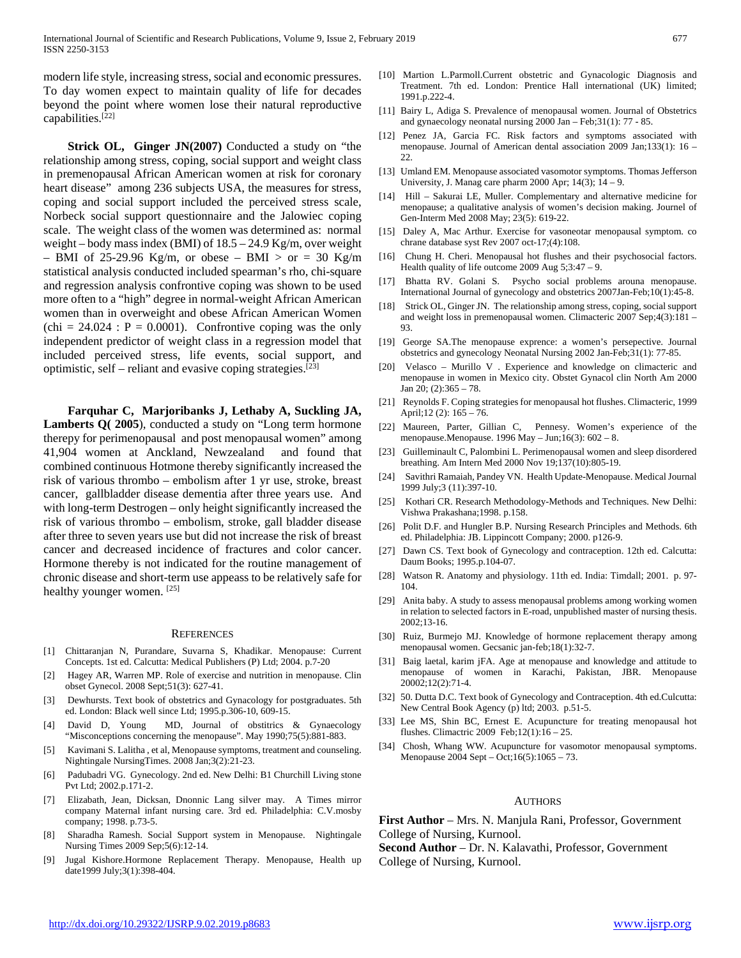modern life style, increasing stress, social and economic pressures. To day women expect to maintain quality of life for decades beyond the point where women lose their natural reproductive capabilities.[22]

**Strick OL, Ginger JN(2007)** Conducted a study on "the relationship among stress, coping, social support and weight class in premenopausal African American women at risk for coronary heart disease" among 236 subjects USA, the measures for stress, coping and social support included the perceived stress scale, Norbeck social support questionnaire and the Jalowiec coping scale. The weight class of the women was determined as: normal weight – body mass index (BMI) of 18.5 – 24.9 Kg/m, over weight – BMI of 25-29.96 Kg/m, or obese – BMI  $>$  or = 30 Kg/m statistical analysis conducted included spearman's rho, chi-square and regression analysis confrontive coping was shown to be used more often to a "high" degree in normal-weight African American women than in overweight and obese African American Women  $\text{(chi = } 24.024 : P = 0.0001).$  Confrontive coping was the only independent predictor of weight class in a regression model that included perceived stress, life events, social support, and optimistic, self – reliant and evasive coping strategies.[23]

 **Farquhar C, Marjoribanks J, Lethaby A, Suckling JA, Lamberts Q( 2005**), conducted a study on "Long term hormone therepy for perimenopausal and post menopausal women" among 41,904 women at Anckland, Newzealand and found that combined continuous Hotmone thereby significantly increased the risk of various thrombo – embolism after 1 yr use, stroke, breast cancer, gallbladder disease dementia after three years use. And with long-term Destrogen – only height significantly increased the risk of various thrombo – embolism, stroke, gall bladder disease after three to seven years use but did not increase the risk of breast cancer and decreased incidence of fractures and color cancer. Hormone thereby is not indicated for the routine management of chronic disease and short-term use appeass to be relatively safe for healthy younger women. [25]

#### **REFERENCES**

- [1] Chittaranjan N, Purandare, Suvarna S, Khadikar. Menopause: Current Concepts. 1st ed. Calcutta: Medical Publishers (P) Ltd; 2004. p.7-20
- [2] Hagey AR, Warren MP. Role of exercise and nutrition in menopause. Clin obset Gynecol. 2008 Sept;51(3): 627-41.
- [3] Dewhursts. Text book of obstetrics and Gynacology for postgraduates. 5th ed. London: Black well since Ltd; 1995.p.306-10, 609-15.
- [4] David D, Young MD, Journal of obstitrics & Gynaecology "Misconceptions concerning the menopause". May 1990;75(5):881-883.
- [5] Kavimani S. Lalitha , et al, Menopause symptoms, treatment and counseling. Nightingale NursingTimes. 2008 Jan;3(2):21-23.
- [6] Padubadri VG. Gynecology. 2nd ed. New Delhi: B1 Churchill Living stone Pvt Ltd; 2002.p.171-2.
- [7] Elizabath, Jean, Dicksan, Dnonnic Lang silver may. A Times mirror company Maternal infant nursing care. 3rd ed. Philadelphia: C.V.mosby company; 1998. p.73-5.
- [8] Sharadha Ramesh. Social Support system in Menopause. Nightingale Nursing Times 2009 Sep;5(6):12-14.
- [9] Jugal Kishore.Hormone Replacement Therapy. Menopause, Health up date1999 July;3(1):398-404.
- [10] Martion L.Parmoll.Current obstetric and Gynacologic Diagnosis and Treatment. 7th ed. London: Prentice Hall international (UK) limited; 1991.p.222-4.
- [11] Bairy L, Adiga S. Prevalence of menopausal women. Journal of Obstetrics and gynaecology neonatal nursing 2000 Jan – Feb;31(1): 77 - 85.
- [12] Penez JA, Garcia FC. Risk factors and symptoms associated with menopause. Journal of American dental association 2009 Jan;133(1): 16 – 22.
- [13] Umland EM. Menopause associated vasomotor symptoms. Thomas Jefferson University, J. Manag care pharm 2000 Apr; 14(3); 14 – 9.
- [14] Hill Sakurai LE, Muller. Complementary and alternative medicine for menopause; a qualitative analysis of women's decision making. Journel of Gen-Interm Med 2008 May; 23(5): 619-22.
- [15] Daley A, Mac Arthur. Exercise for vasoneotar menopausal symptom. co chrane database syst Rev 2007 oct-17;(4):108.
- [16] Chung H. Cheri. Menopausal hot flushes and their psychosocial factors. Health quality of life outcome 2009 Aug 5;3:47 – 9.
- [17] Bhatta RV. Golani S. Psycho social problems arouna menopause. International Journal of gynecology and obstetrics 2007Jan-Feb;10(1):45-8.
- [18] Strick OL, Ginger JN. The relationship among stress, coping, social support and weight loss in premenopausal women. Climacteric 2007 Sep;4(3):181 – 93.
- [19] George SA.The menopause exprence: a women's persepective. Journal obstetrics and gynecology Neonatal Nursing 2002 Jan-Feb;31(1): 77-85.
- [20] Velasco Murillo V . Experience and knowledge on climacteric and menopause in women in Mexico city. Obstet Gynacol clin North Am 2000 Jan 20;  $(2):365 - 78$ .
- [21] Reynolds F. Coping strategies for menopausal hot flushes. Climacteric, 1999 April;12 (2): 165 – 76.
- [22] Maureen, Parter, Gillian C, Pennesy. Women's experience of the menopause.Menopause. 1996 May – Jun;16(3):  $602 - 8$ .
- [23] Guilleminault C, Palombini L. Perimenopausal women and sleep disordered breathing. Am Intern Med 2000 Nov 19;137(10):805-19.
- [24] Savithri Ramaiah, Pandey VN. Health Update-Menopause. Medical Journal 1999 July;3 (11):397-10.
- [25] Kothari CR. Research Methodology-Methods and Techniques. New Delhi: Vishwa Prakashana;1998. p.158.
- [26] Polit D.F. and Hungler B.P. Nursing Research Principles and Methods. 6th ed. Philadelphia: JB. Lippincott Company; 2000. p126-9.
- [27] Dawn CS. Text book of Gynecology and contraception. 12th ed. Calcutta: Daum Books; 1995.p.104-07.
- [28] Watson R. Anatomy and physiology. 11th ed. India: Timdall; 2001. p. 97- 104.
- [29] Anita baby. A study to assess menopausal problems among working women in relation to selected factors in E-road, unpublished master of nursing thesis. 2002;13-16.
- [30] Ruiz, Burmejo MJ. Knowledge of hormone replacement therapy among menopausal women. Gecsanic jan-feb;18(1):32-7.
- [31] Baig laetal, karim jFA. Age at menopause and knowledge and attitude to menopause of women in Karachi, Pakistan, JBR. Menopause 20002;12(2):71-4.
- [32] 50. Dutta D.C. Text book of Gynecology and Contraception. 4th ed.Culcutta: New Central Book Agency (p) ltd; 2003. p.51-5.
- [33] Lee MS, Shin BC, Ernest E. Acupuncture for treating menopausal hot flushes. Climactric 2009 Feb;12(1):16 – 25.
- [34] Chosh, Whang WW. Acupuncture for vasomotor menopausal symptoms. Menopause 2004 Sept – Oct;16(5):1065 – 73.

#### **AUTHORS**

**First Author** – Mrs. N. Manjula Rani, Professor, Government College of Nursing, Kurnool.

**Second Author** – Dr. N. Kalavathi, Professor, Government College of Nursing, Kurnool.